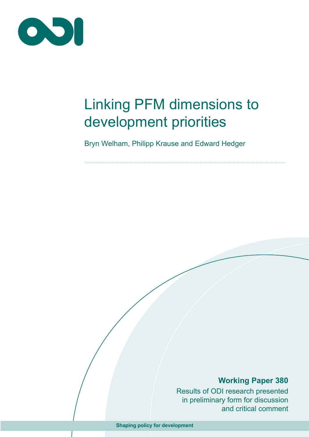

# Linking PFM dimensions to development priorities

Bryn Welham, Philipp Krause and Edward Hedger

# **Working Paper 380**

Results of ODI research presented in preliminary form for discussion and critical comment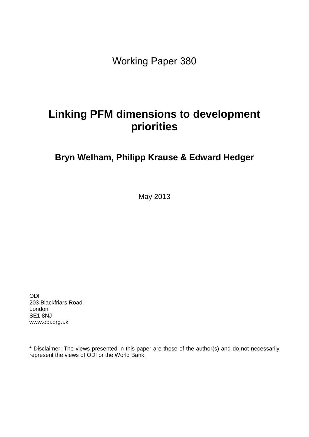Working Paper 380

# **Linking PFM dimensions to development priorities**

# **Bryn Welham, Philipp Krause & Edward Hedger**

May 2013

ODI 203 Blackfriars Road, London SE1 8NJ www.odi.org.uk

\* Disclaimer: The views presented in this paper are those of the author(s) and do not necessarily represent the views of ODI or the World Bank.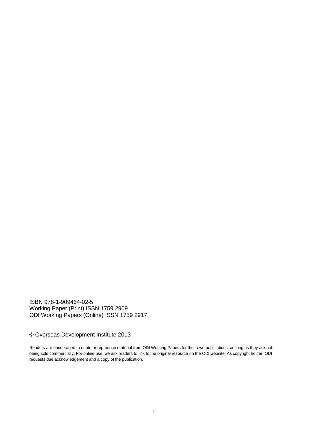ISBN 978-1-909464-02-5 Working Paper (Print) ISSN 1759 2909 ODI Working Papers (Online) ISSN 1759 2917

#### © Overseas Development Institute 2013

Readers are encouraged to quote or reproduce material from ODI Working Papers for their own publications, as long as they are not being sold commercially. For online use, we ask readers to link to the original resource on the ODI website. As copyright holder, ODI requests due acknowledgement and a copy of the publication.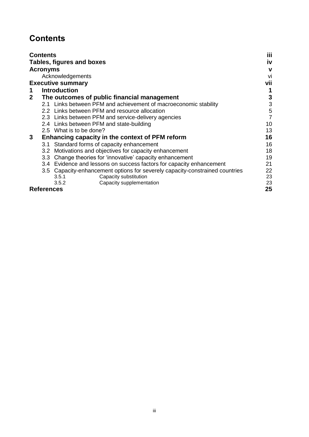# <span id="page-3-0"></span>**Contents**

|   | <b>Contents</b>   |                                                                              | iii |
|---|-------------------|------------------------------------------------------------------------------|-----|
|   |                   | Tables, figures and boxes                                                    | iv  |
|   | <b>Acronyms</b>   |                                                                              | v   |
|   |                   | Acknowledgements                                                             | Vİ  |
|   |                   | <b>Executive summary</b>                                                     | vii |
|   |                   | <b>Introduction</b>                                                          |     |
| 2 |                   | The outcomes of public financial management                                  | 3   |
|   |                   | 2.1 Links between PFM and achievement of macroeconomic stability             | 3   |
|   |                   | 2.2 Links between PFM and resource allocation                                | 5   |
|   |                   | 2.3 Links between PFM and service-delivery agencies                          | 7   |
|   |                   | 2.4 Links between PFM and state-building                                     | 10  |
|   |                   | 2.5 What is to be done?                                                      | 13  |
| 3 |                   | Enhancing capacity in the context of PFM reform                              | 16  |
|   |                   | 3.1 Standard forms of capacity enhancement                                   | 16  |
|   | 3.2               | Motivations and objectives for capacity enhancement                          | 18  |
|   | 3.3               | Change theories for 'innovative' capacity enhancement                        | 19  |
|   |                   | 3.4 Evidence and lessons on success factors for capacity enhancement         | 21  |
|   |                   | 3.5 Capacity-enhancement options for severely capacity-constrained countries | 22  |
|   |                   | Capacity substitution<br>3.5.1                                               | 23  |
|   |                   | Capacity supplementation<br>3.5.2                                            | 23  |
|   | <b>References</b> |                                                                              | 25  |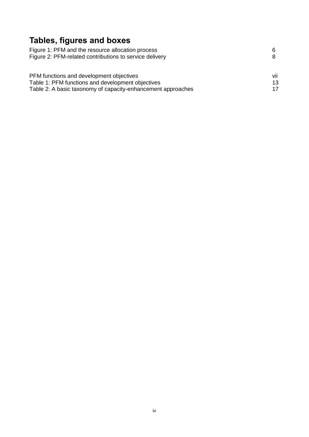# <span id="page-4-0"></span>**Tables, figures and boxes**

| Figure 1: PFM and the resource allocation process            | 6   |
|--------------------------------------------------------------|-----|
| Figure 2: PFM-related contributions to service delivery      |     |
|                                                              |     |
| PFM functions and development objectives                     | vii |
|                                                              |     |
| Table 1: PFM functions and development objectives            | 13  |
| Table 2: A basic taxonomy of capacity-enhancement approaches | 17  |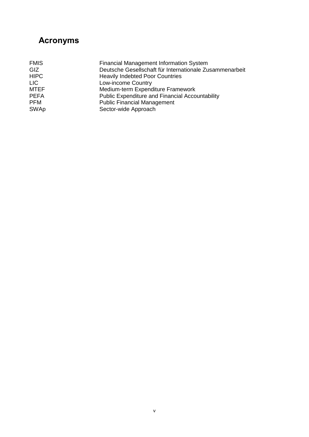# <span id="page-5-0"></span>**Acronyms**

| <b>Financial Management Information System</b>          |
|---------------------------------------------------------|
| Deutsche Gesellschaft für Internationale Zusammenarbeit |
| <b>Heavily Indebted Poor Countries</b>                  |
| Low-income Country                                      |
| Medium-term Expenditure Framework                       |
| <b>Public Expenditure and Financial Accountability</b>  |
| <b>Public Financial Management</b>                      |
| Sector-wide Approach                                    |
|                                                         |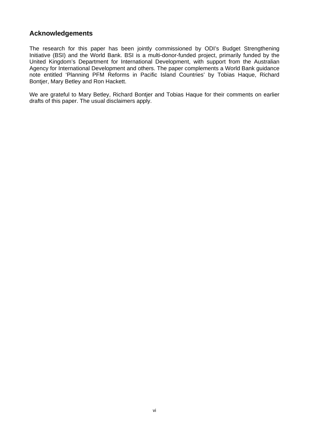### **Acknowledgements**

The research for this paper has been jointly commissioned by ODI's Budget Strengthening Initiative (BSI) and the World Bank. BSI is a multi-donor-funded project, primarily funded by the United Kingdom's Department for International Development, with support from the Australian Agency for International Development and others. The paper complements a World Bank guidance note entitled 'Planning PFM Reforms in Pacific Island Countries' by Tobias Haque, Richard Bontjer, Mary Betley and Ron Hackett.

We are grateful to Mary Betley, Richard Bontjer and Tobias Haque for their comments on earlier drafts of this paper. The usual disclaimers apply.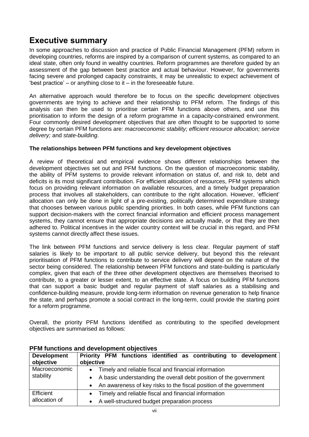# <span id="page-7-0"></span>**Executive summary**

In some approaches to discussion and practice of Public Financial Management (PFM) reform in developing countries, reforms are inspired by a comparison of current systems, as compared to an ideal state, often only found in wealthy countries. Reform programmes are therefore guided by an assessment of the gap between best practice and actual behaviour. However, for governments facing severe and prolonged capacity constraints, it may be unrealistic to expect achievement of 'best practice' – or anything close to it – in the foreseeable future.

An alternative approach would therefore be to focus on the specific development objectives governments are trying to achieve and their relationship to PFM reform. The findings of this analysis can then be used to prioritise certain PFM functions above others, and use this prioritisation to inform the design of a reform programme in a capacity-constrained environment. Four commonly desired development objectives that are often thought to be supported to some degree by certain PFM functions are: *macroeconomic stability; efficient resource allocation; service delivery;* and *state-building*.

#### **The relationships between PFM functions and key development objectives**

A review of theoretical and empirical evidence shows different relationships between the development objectives set out and PFM functions. On the question of macroeconomic stability, the ability of PFM systems to provide relevant information on status of, and risk to, debt and deficits is its most significant contribution. For efficient allocation of resources, PFM systems which focus on providing relevant information on available resources, and a timely budget preparation process that involves all stakeholders, can contribute to the right allocation. However, 'efficient' allocation can only be done in light of a pre-existing, politically determined expenditure strategy that chooses between various public spending priorities. In both cases, while PFM functions can support decision-makers with the correct financial information and efficient process management systems, they cannot ensure that appropriate decisions are actually made, or that they are then adhered to. Political incentives in the wider country context will be crucial in this regard, and PFM systems cannot directly affect these issues.

The link between PFM functions and service delivery is less clear. Regular payment of staff salaries is likely to be important to all public service delivery, but beyond this the relevant prioritisation of PFM functions to contribute to service delivery will depend on the nature of the sector being considered. The relationship between PFM functions and state-building is particularly complex, given that each of the three other development objectives are themselves theorised to contribute, to a greater or lesser extent, to an effective state. A focus on building PFM functions that can support a basic budget and regular payment of staff salaries as a stabilising and confidence-building measure, provide long-term information on revenue generation to help finance the state, and perhaps promote a social contract in the long-term, could provide the starting point for a reform programme.

Overall, the priority PFM functions identified as contributing to the specified development objectives are summarised as follows:

| <b>Development</b><br>objective | Priority PFM functions identified as contributing to development<br>objective                                                                                     |
|---------------------------------|-------------------------------------------------------------------------------------------------------------------------------------------------------------------|
| Macroeconomic<br>stability      | • Timely and reliable fiscal and financial information                                                                                                            |
|                                 | A basic understanding the overall debt position of the government<br>$\bullet$<br>An awareness of key risks to the fiscal position of the government<br>$\bullet$ |
| Efficient                       | Timely and reliable fiscal and financial information<br>$\bullet$                                                                                                 |
| allocation of                   | A well-structured budget preparation process<br>$\bullet$                                                                                                         |

#### <span id="page-7-1"></span>**PFM functions and development objectives**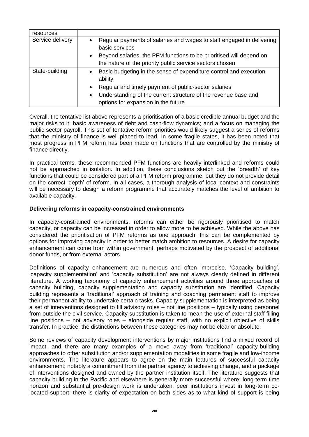| resources        |                                                                                                                    |
|------------------|--------------------------------------------------------------------------------------------------------------------|
| Service delivery | Regular payments of salaries and wages to staff engaged in delivering<br>$\bullet$<br>basic services               |
|                  | Beyond salaries, the PFM functions to be prioritised will depend on<br>$\bullet$                                   |
|                  | the nature of the priority public service sectors chosen                                                           |
| State-building   | Basic budgeting in the sense of expenditure control and execution<br>$\bullet$<br>ability                          |
|                  | Regular and timely payment of public-sector salaries<br>$\bullet$                                                  |
|                  | Understanding of the current structure of the revenue base and<br>$\bullet$<br>options for expansion in the future |

Overall, the tentative list above represents a prioritisation of a basic credible annual budget and the major risks to it; basic awareness of debt and cash-flow dynamics; and a focus on managing the public sector payroll. This set of tentative reform priorities would likely suggest a series of reforms that the ministry of finance is well placed to lead. In some fragile states, it has been noted that most progress in PFM reform has been made on functions that are controlled by the ministry of finance directly.

In practical terms, these recommended PFM functions are heavily interlinked and reforms could not be approached in isolation. In addition, these conclusions sketch out the 'breadth' of key functions that could be considered part of a PFM reform programme, but they do not provide detail on the correct 'depth' of reform. In all cases, a thorough analysis of local context and constraints will be necessary to design a reform programme that accurately matches the level of ambition to available capacity.

#### **Delivering reforms in capacity-constrained environments**

In capacity-constrained environments, reforms can either be rigorously prioritised to match capacity, or capacity can be increased in order to allow more to be achieved. While the above has considered the prioritisation of PFM reforms as one approach, this can be complemented by options for improving capacity in order to better match ambition to resources. A desire for capacity enhancement can come from within government, perhaps motivated by the prospect of additional donor funds, or from external actors.

Definitions of capacity enhancement are numerous and often imprecise. 'Capacity building', 'capacity supplementation' and 'capacity substitution' are not always clearly defined in different literature. A working taxonomy of capacity enhancement activities around three approaches of capacity building, capacity supplementation and capacity substitution are identified. Capacity building represents a 'traditional' approach of training and coaching permanent staff to improve their permanent ability to undertake certain tasks. Capacity supplementation is interpreted as being a set of interventions designed to fill advisory roles – not line positions – typically using personnel from outside the civil service. Capacity substitution is taken to mean the use of external staff filling line positions – not advisory roles – alongside regular staff, with no explicit objective of skills transfer. In practice, the distinctions between these categories may not be clear or absolute.

Some reviews of capacity development interventions by major institutions find a mixed record of impact, and there are many examples of a move away from 'traditional' capacity-building approaches to other substitution and/or supplementation modalities in some fragile and low-income environments. The literature appears to agree on the main features of successful capacity enhancement; notably a commitment from the partner agency to achieving change, and a package of interventions designed and owned by the partner institution itself. The literature suggests that capacity building in the Pacific and elsewhere is generally more successful where: long-term time horizon and substantial pre-design work is undertaken; peer institutions invest in long-term colocated support; there is clarity of expectation on both sides as to what kind of support is being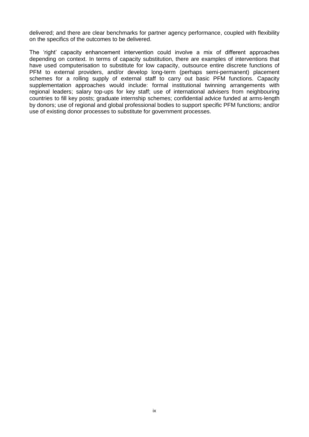delivered; and there are clear benchmarks for partner agency performance, coupled with flexibility on the specifics of the outcomes to be delivered.

The 'right' capacity enhancement intervention could involve a mix of different approaches depending on context. In terms of capacity substitution, there are examples of interventions that have used computerisation to substitute for low capacity, outsource entire discrete functions of PFM to external providers, and/or develop long-term (perhaps semi-permanent) placement schemes for a rolling supply of external staff to carry out basic PFM functions. Capacity supplementation approaches would include: formal institutional twinning arrangements with regional leaders; salary top-ups for key staff; use of international advisers from neighbouring countries to fill key posts; graduate internship schemes; confidential advice funded at arms-length by donors; use of regional and global professional bodies to support specific PFM functions; and/or use of existing donor processes to substitute for government processes.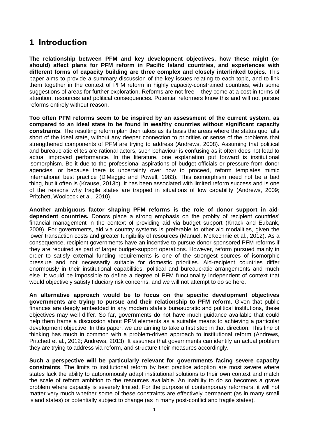# <span id="page-10-0"></span>**1 Introduction**

**The relationship between PFM and key development objectives, how these might (or should) affect plans for PFM reform in Pacific Island countries, and experiences with different forms of capacity building are three complex and closely interlinked topics**. This paper aims to provide a summary discussion of the key issues relating to each topic, and to link them together in the context of PFM reform in highly capacity-constrained countries, with some suggestions of areas for further exploration. Reforms are not free – they come at a cost in terms of attention, resources and political consequences. Potential reformers know this and will not pursue reforms entirely without reason.

**Too often PFM reforms seem to be inspired by an assessment of the current system, as compared to an ideal state to be found in wealthy countries without significant capacity constraints**. The resulting reform plan then takes as its basis the areas where the status quo falls short of the ideal state, without any deeper connection to priorities or sense of the problems that strengthened components of PFM are trying to address (Andrews, 2008). Assuming that political and bureaucratic elites are rational actors, such behaviour is confusing as it often does not lead to actual improved performance. In the literature, one explanation put forward is institutional isomorphism. Be it due to the professional aspirations of budget officials or pressure from donor agencies, or because there is uncertainty over how to proceed, reform templates mimic international best practice (DiMaggio and Powell, 1983). This isomorphism need not be a bad thing, but it often is (Krause, 2013b). It has been associated with limited reform success and is one of the reasons why fragile states are trapped in situations of low capability (Andrews, 2009; Pritchett, Woolcock et al., 2010).

**Another ambiguous factor shaping PFM reforms is the role of donor support in aiddependent countries.** Donors place a strong emphasis on the probity of recipient countries' financial management in the context of providing aid via budget support (Knack and Eubank, 2009). For governments, aid via country systems is preferable to other aid modalities, given the lower transaction costs and greater fungibility of resources (Manuel, McKechnie et al., 2012). As a consequence, recipient governments have an incentive to pursue donor-sponsored PFM reforms if they are required as part of larger budget-support operations. However, reform pursued mainly in order to satisfy external funding requirements is one of the strongest sources of isomorphic pressure and not necessarily suitable for domestic priorities. Aid-recipient countries differ enormously in their institutional capabilities, political and bureaucratic arrangements and much else. It would be impossible to define a degree of PFM functionality independent of context that would objectively satisfy fiduciary risk concerns, and we will not attempt to do so here.

**An alternative approach would be to focus on the specific development objectives governments are trying to pursue and their relationship to PFM reform**. Given that public finances are deeply embedded in any modern state's bureaucratic and political institutions, these objectives may well differ. So far, governments do not have much guidance available that could help them frame a discussion about PFM elements as a suitable means to achieving a particular development objective. In this paper, we are aiming to take a first step in that direction. This line of thinking has much in common with a problem-driven approach to institutional reform (Andrews, Pritchett et al., 2012; Andrews, 2013). It assumes that governments can identify an actual problem they are trying to address via reform, and structure their measures accordingly.

**Such a perspective will be particularly relevant for governments facing severe capacity constraints**. The limits to institutional reform by best practice adoption are most severe where states lack the ability to autonomously adapt institutional solutions to their own context and match the scale of reform ambition to the resources available. An inability to do so becomes a grave problem where capacity is severely limited. For the purpose of contemporary reformers, it will not matter very much whether some of these constraints are effectively permanent (as in many small island states) or potentially subject to change (as in many post-conflict and fragile states).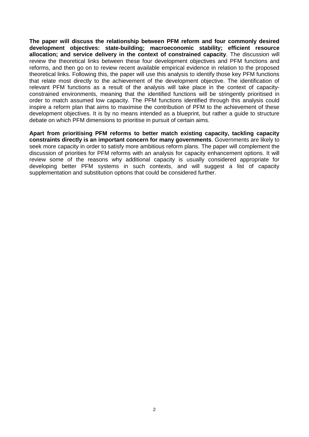**The paper will discuss the relationship between PFM reform and four commonly desired development objectives: state-building; macroeconomic stability; efficient resource allocation; and service delivery in the context of constrained capacity**. The discussion will review the theoretical links between these four development objectives and PFM functions and reforms, and then go on to review recent available empirical evidence in relation to the proposed theoretical links. Following this, the paper will use this analysis to identify those key PFM functions that relate most directly to the achievement of the development objective. The identification of relevant PFM functions as a result of the analysis will take place in the context of capacityconstrained environments, meaning that the identified functions will be stringently prioritised in order to match assumed low capacity. The PFM functions identified through this analysis could inspire a reform plan that aims to maximise the contribution of PFM to the achievement of these development objectives. It is by no means intended as a blueprint, but rather a guide to structure debate on which PFM dimensions to prioritise in pursuit of certain aims.

**Apart from prioritising PFM reforms to better match existing capacity, tackling capacity constraints directly is an important concern for many governments**. Governments are likely to seek more capacity in order to satisfy more ambitious reform plans. The paper will complement the discussion of priorities for PFM reforms with an analysis for capacity enhancement options. It will review some of the reasons why additional capacity is usually considered appropriate for developing better PFM systems in such contexts, and will suggest a list of capacity supplementation and substitution options that could be considered further.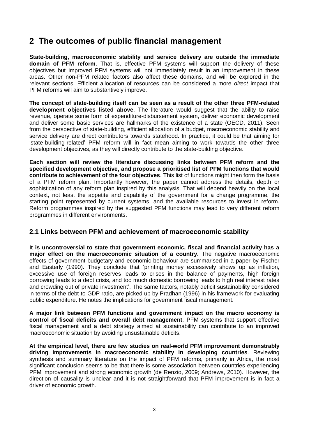# <span id="page-12-0"></span>**2 The outcomes of public financial management**

**State-building, macroeconomic stability and service delivery are outside the immediate domain of PFM reform**. That is, effective PFM systems will support the delivery of these objectives but improved PFM systems will not immediately result in an improvement in these areas. Other non-PFM related factors also affect these domains, and will be explored in the relevant sections. Efficient allocation of resources can be considered a more *direct* impact that PFM reforms will aim to substantively improve.

**The concept of state-building itself can be seen as a result of the other three PFM-related development objectives listed above**. The literature would suggest that the ability to raise revenue, operate some form of expenditure-disbursement system, deliver economic development and deliver some basic services are hallmarks of the existence of a state (OECD, 2011). Seen from the perspective of state-building, efficient allocation of a budget, macroeconomic stability and service delivery are direct contributors towards statehood. In practice, it could be that aiming for 'state-building-related' PFM reform will in fact mean aiming to work towards the other three development objectives, as they will directly contribute to the state-building objective.

**Each section will review the literature discussing links between PFM reform and the specified development objective, and propose a prioritised list of PFM functions that would contribute to achievement of the four objectives**. This list of functions might then form the basis of a PFM reform plan. Importantly however, the paper cannot address the details, depth or sophistication of any reform plan inspired by this analysis. That will depend heavily on the local context, not least the appetite and capability of the government for a change programme, the starting point represented by current systems, and the available resources to invest in reform. Reform programmes inspired by the suggested PFM functions may lead to very different reform programmes in different environments.

### <span id="page-12-1"></span>**2.1 Links between PFM and achievement of macroeconomic stability**

**It is uncontroversial to state that government economic, fiscal and financial activity has a major effect on the macroeconomic situation of a country**. The negative macroeconomic effects of government budgetary and economic behaviour are summarised in a paper by Fischer and Easterly (1990). They conclude that 'printing money excessively shows up as inflation, excessive use of foreign reserves leads to crises in the balance of payments, high foreign borrowing leads to a debt crisis, and too much domestic borrowing leads to high real interest rates and crowding out of private investment'. The same factors, notably deficit sustainability considered in terms of the debt-to-GDP ratio, are picked up by Pradhan (1996) in his framework for evaluating public expenditure. He notes the implications for government fiscal management.

**A major link between PFM functions and government impact on the macro economy is control of fiscal deficits and overall debt management**. PFM systems that support effective fiscal management and a debt strategy aimed at sustainability can contribute to an improved macroeconomic situation by avoiding unsustainable deficits.

**At the empirical level, there are few studies on real-world PFM improvement demonstrably driving improvements in macroeconomic stability in developing countries**. Reviewing synthesis and summary literature on the impact of PFM reforms, primarily in Africa, the most significant conclusion seems to be that there is some association between countries experiencing PFM improvement and strong economic growth (de Renzio, 2009; Andrews, 2010). However, the direction of causality is unclear and it is not straightforward that PFM improvement is in fact a driver of economic growth.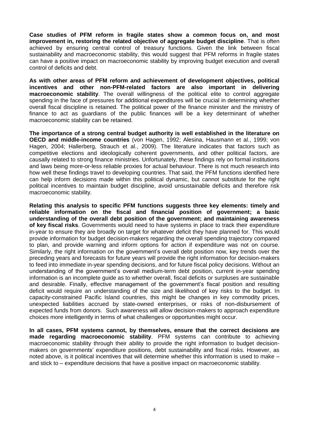**Case studies of PFM reform in fragile states show a common focus on, and most improvement in, restoring the related objective of aggregate budget discipline**. That is often achieved by ensuring central control of treasury functions. Given the link between fiscal sustainability and macroeconomic stability, this would suggest that PFM reforms in fragile states can have a positive impact on macroeconomic stability by improving budget execution and overall control of deficits and debt.

**As with other areas of PFM reform and achievement of development objectives, political incentives and other non-PFM-related factors are also important in delivering macroeconomic stability**. The overall willingness of the political elite to control aggregate spending in the face of pressures for additional expenditures will be crucial in determining whether overall fiscal discipline is retained. The political power of the finance minister and the ministry of finance to act as guardians of the public finances will be a key determinant of whether macroeconomic stability can be retained.

**The importance of a strong central budget authority is well established in the literature on OECD and middle-income countries** (von Hagen, 1992; Alesina, Hausmann et al., 1999; von Hagen, 2004; Hallerberg, Strauch et al., 2009). The literature indicates that factors such as competitive elections and ideologically coherent governments, and other political factors, are causally related to strong finance ministries. Unfortunately, these findings rely on formal institutions and laws being more-or-less reliable proxies for actual behaviour. There is not much research into how well these findings travel to developing countries. That said, the PFM functions identified here can help inform decisions made within this political dynamic, but cannot substitute for the right political incentives to maintain budget discipline, avoid unsustainable deficits and therefore risk macroeconomic stability.

**Relating this analysis to specific PFM functions suggests three key elements: timely and reliable information on the fiscal and financial position of government; a basic understanding of the overall debt position of the government; and maintaining awareness of key fiscal risks**. Governments would need to have systems in place to track their expenditure in-year to ensure they are broadly on target for whatever deficit they have planned for. This would provide information for budget decision-makers regarding the overall spending trajectory compared to plan, and provide warning and inform options for action if expenditure was not on course. Similarly, the right information on the government's overall debt position now, key trends over the preceding years and forecasts for future years will provide the right information for decision-makers to feed into immediate in-year spending decisions, and for future fiscal policy decisions. Without an understanding of the government's overall medium-term debt position, current in-year spending information is an incomplete guide as to whether overall, fiscal deficits or surpluses are sustainable and desirable. Finally, effective management of the government's fiscal position and resulting deficit would require an understanding of the size and likelihood of key risks to the budget. In capacity-constrained Pacific Island countries, this might be changes in key commodity prices, unexpected liabilities accrued by state-owned enterprises, or risks of non-disbursement of expected funds from donors. Such awareness will allow decision-makers to approach expenditure choices more intelligently in terms of what challenges or opportunities might occur.

**In all cases, PFM systems cannot, by themselves, ensure that the correct decisions are made regarding macroeconomic stability**. PFM systems can contribute to achieving macroeconomic stability through their ability to provide the right information to budget decisionmakers on governments' expenditure positions, debt sustainability and fiscal risks. However, as noted above, is it political incentives that will determine whether this information is used to make – and stick to – expenditure decisions that have a positive impact on macroeconomic stability.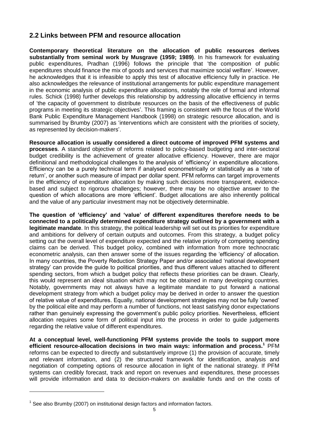### <span id="page-14-0"></span>**2.2 Links between PFM and resource allocation**

**Contemporary theoretical literature on the allocation of public resources derives substantially from seminal work by Musgrave (1959; 1989)**. In his framework for evaluating public expenditures, Pradhan (1996) follows the principle that 'the composition of public expenditures should finance the mix of goods and services that maximize social welfare'. However, he acknowledges that it is infeasible to apply this test of allocative efficiency fully in practice. He also acknowledges the relevance of institutional arrangements for public expenditure management in the economic analysis of public expenditure allocations, notably the role of formal and informal rules. Schick (1998) further develops this relationship by addressing allocative efficiency in terms of 'the capacity of government to distribute resources on the basis of the effectiveness of public programs in meeting its strategic objectives'. This framing is consistent with the focus of the World Bank Public Expenditure Management Handbook (1998) on strategic resource allocation, and is summarised by Brumby (2007) as 'interventions which are consistent with the priorities of society, as represented by decision-makers'.

**Resource allocation is usually considered a direct outcome of improved PFM systems and processes**. A standard objective of reforms related to policy-based budgeting and inter-sectoral budget credibility is the achievement of greater allocative efficiency. However, there are major definitional and methodological challenges to the analysis of 'efficiency' in expenditure allocations. Efficiency can be a purely technical term if analysed econometrically or statistically as a 'rate of return', or another such measure of impact per dollar spent. PFM reforms can target improvements in the efficiency of expenditure allocation by making such decisions more transparent, evidencebased and subject to rigorous challenges; however, there may be no objective answer to the question of which allocations are more 'efficient'. Budget allocations are also inherently political and the value of any particular investment may not be objectively determinable.

**The question of 'efficiency' and 'value' of different expenditures therefore needs to be connected to a politically determined expenditure strategy outlined by a government with a legitimate mandate**. In this strategy, the political leadership will set out its priorities for expenditure and ambitions for delivery of certain outputs and outcomes. From this strategy, a budget policy setting out the overall level of expenditure expected and the relative priority of competing spending claims can be derived. This budget policy, combined with information from more technocratic econometric analysis, can then answer some of the issues regarding the 'efficiency' of allocation. In many countries, the Poverty Reduction Strategy Paper and/or associated 'national development strategy' can provide the guide to political priorities, and thus different values attached to different spending sectors, from which a budget policy that reflects these priorities can be drawn. Clearly, this would represent an ideal situation which may not be obtained in many developing countries. Notably, governments may not always have a legitimate mandate to put forward a national development strategy from which a budget policy may be derived in order to answer the question of relative value of expenditures. Equally, national development strategies may not be fully 'owned' by the political elite and may perform a number of functions, not least satisfying donor expectations rather than genuinely expressing the government's public policy priorities. Nevertheless, efficient allocation requires some form of political input into the process in order to guide judgements regarding the relative value of different expenditures.

**At a conceptual level, well-functioning PFM systems provide the tools to support more efficient resource-allocation decisions in two main ways: information and process.<sup>1</sup>** PFM reforms can be expected to directly and substantively improve (1) the provision of accurate, timely and relevant information, and (2) the structured framework for identification, analysis and negotiation of competing options of resource allocation in light of the national strategy. If PFM systems can credibly forecast, track and report on revenues and expenditures, these processes will provide information and data to decision-makers on available funds and on the costs of

-

 $1$  See also Brumby (2007) on institutional design factors and information factors.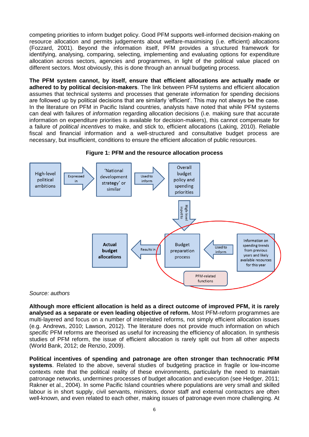competing priorities to inform budget policy. Good PFM supports well-informed decision-making on resource allocation and permits judgements about welfare-maximising (i.e. efficient) allocations (Fozzard, 2001). Beyond the information itself, PFM provides a structured framework for identifying, analysing, comparing, selecting, implementing and evaluating options for expenditure allocation across sectors, agencies and programmes, in light of the political value placed on different sectors. Most obviously, this is done through an annual budgeting process.

**The PFM system cannot, by itself, ensure that efficient allocations are actually made or adhered to by political decision-makers**. The link between PFM systems and efficient allocation assumes that technical systems and processes that generate information for spending decisions are followed up by political decisions that are similarly 'efficient'. This may not always be the case. In the literature on PFM in Pacific Island countries, analysts have noted that while PFM systems can deal with failures of *information* regarding allocation decisions (i.e. making sure that accurate information on expenditure priorities is available for decision-makers), this cannot compensate for a failure of *political incentives* to make, and stick to, efficient allocations (Laking, 2010). Reliable fiscal and financial information and a well-structured and consultative budget process are necessary, but insufficient, conditions to ensure the efficient allocation of public resources.

<span id="page-15-0"></span>

**Figure 1: PFM and the resource allocation process**

#### *Source: authors*

**Although more efficient allocation is held as a direct outcome of improved PFM, it is rarely analysed as a separate or even leading objective of reform.** Most PFM-reform programmes are multi-layered and focus on a number of interrelated reforms, not simply efficient allocation issues (e.g. Andrews, 2010; Lawson, 2012). The literature does not provide much information on which *specific* PFM reforms are theorised as useful for increasing the efficiency of allocation. In synthesis studies of PFM reform, the issue of efficient allocation is rarely split out from all other aspects (World Bank, 2012; de Renzio, 2009).

**Political incentives of spending and patronage are often stronger than technocratic PFM systems**. Related to the above, several studies of budgeting practice in fragile or low-income contexts note that the political reality of these environments, particularly the need to maintain patronage networks, undermines processes of budget allocation and execution (see Hedger, 2011; Rakner et al., 2004). In some Pacific Island countries where populations are very small and skilled labour is in short supply, civil servants, ministers, donor staff and external contractors are often well-known, and even related to each other, making issues of patronage even more challenging. At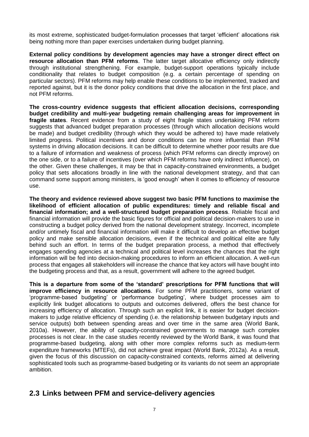its most extreme, sophisticated budget-formulation processes that target 'efficient' allocations risk being nothing more than paper exercises undertaken during budget planning.

**External policy conditions by development agencies may have a stronger direct effect on resource allocation than PFM reforms**. The latter target allocative efficiency only indirectly through institutional strengthening. For example, budget-support operations typically include conditionality that relates to budget composition (e.g. a certain percentage of spending on particular sectors). PFM reforms may help enable these conditions to be implemented, tracked and reported against, but it is the donor policy conditions that drive the allocation in the first place, and not PFM reforms.

**The cross-country evidence suggests that efficient allocation decisions, corresponding budget credibility and multi-year budgeting remain challenging areas for improvement in fragile states**. Recent evidence from a study of eight fragile states undertaking PFM reform suggests that advanced budget preparation processes (through which allocation decisions would be made) and budget credibility (through which they would be adhered to) have made relatively limited progress. Political incentives and donor conditions can be more influential than PFM systems in driving allocation decisions. It can be difficult to determine whether poor results are due to a failure of information and weakness of process (which PFM reforms can directly improve) on the one side, or to a failure of incentives (over which PFM reforms have only indirect influence), on the other. Given these challenges, it may be that in capacity-constrained environments, a budget policy that sets allocations broadly in line with the national development strategy, and that can command some support among ministers, is 'good enough' when it comes to efficiency of resource use.

**The theory and evidence reviewed above suggest two basic PFM functions to maximise the likelihood of efficient allocation of public expenditures: timely and reliable fiscal and financial information; and a well-structured budget preparation process**. Reliable fiscal and financial information will provide the basic figures for official and political decision-makers to use in constructing a budget policy derived from the national development strategy. Incorrect, incomplete and/or untimely fiscal and financial information will make it difficult to develop an effective budget policy and make sensible allocation decisions, even if the technical and political elite are fully behind such an effort. In terms of the budget preparation process, a method that effectively engages spending agencies at a technical and political level increases the chances that the right information will be fed into decision-making procedures to inform an efficient allocation. A well-run process that engages all stakeholders will increase the chance that key actors will have bought into the budgeting process and that, as a result, government will adhere to the agreed budget.

**This is a departure from some of the 'standard' prescriptions for PFM functions that will improve efficiency in resource allocations**. For some PFM practitioners, some variant of 'programme-based budgeting' or 'performance budgeting', where budget processes aim to explicitly link budget allocations to outputs and outcomes delivered, offers the best chance for increasing efficiency of allocation. Through such an explicit link, it is easier for budget decisionmakers to judge relative efficiency of spending (i.e. the relationship between budgetary inputs and service outputs) both between spending areas and over time in the same area (World Bank, 2010a). However, the ability of capacity-constrained governments to manage such complex processes is not clear. In the case studies recently reviewed by the World Bank, it was found that programme-based budgeting, along with other more complex reforms such as medium-term expenditure frameworks (MTEFs), did not achieve great impact (World Bank, 2012a). As a result, given the focus of this discussion on capacity-constrained contexts, reforms aimed at delivering sophisticated tools such as programme-based budgeting or its variants do not seem an appropriate ambition.

# <span id="page-16-0"></span>**2.3 Links between PFM and service-delivery agencies**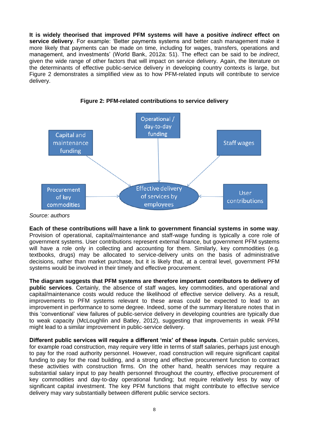**It is widely theorised that improved PFM systems will have a positive** *indirect* **effect on service delivery**. For example: 'Better payments systems and better cash management make it more likely that payments can be made on time, including for wages, transfers, operations and management, and investments' (World Bank, 2012a: 51). The effect can be said to be *indirect*, given the wide range of other factors that will impact on service delivery. Again, the literature on the determinants of effective public-service delivery in developing country contexts is large, but Figure 2 demonstrates a simplified view as to how PFM-related inputs will contribute to service delivery.

<span id="page-17-0"></span>

**Figure 2: PFM-related contributions to service delivery**

**Each of these contributions will have a link to government financial systems in some way**. Provision of operational, capital/maintenance and staff-wage funding is typically a core role of government systems. User contributions represent external finance, but government PFM systems will have a role only in collecting and accounting for them. Similarly, key commodities (e.g. textbooks, drugs) may be allocated to service-delivery units on the basis of administrative decisions, rather than market purchase, but it is likely that, at a central level, government PFM systems would be involved in their timely and effective procurement.

**The diagram suggests that PFM systems are therefore important contributors to delivery of public services**. Certainly, the absence of staff wages, key commodities, and operational and capital/maintenance costs would reduce the likelihood of effective service delivery. As a result, improvements to PFM systems relevant to these areas could be expected to lead to an improvement in performance to some degree. Indeed, some of the summary literature notes that in this 'conventional' view failures of public-service delivery in developing countries are typically due to weak capacity (McLoughlin and Batley, 2012), suggesting that improvements in weak PFM might lead to a similar improvement in public-service delivery.

**Different public services will require a different 'mix' of these inputs**. Certain public services, for example road construction, may require very little in terms of staff salaries, perhaps just enough to pay for the road authority personnel. However, road construction will require significant capital funding to pay for the road building, and a strong and effective procurement function to contract these activities with construction firms. On the other hand, health services may require a substantial salary input to pay health personnel throughout the country, effective procurement of key commodities and day-to-day operational funding; but require relatively less by way of significant capital investment. The key PFM functions that might contribute to effective service delivery may vary substantially between different public service sectors.

*Source: authors*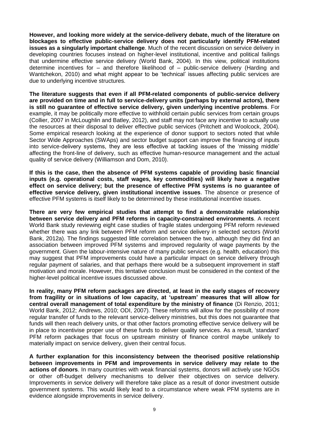**However, and looking more widely at the service-delivery debate, much of the literature on blockages to effective public-service delivery does not particularly identify PFM-related issues as a singularly important challenge**. Much of the recent discussion on service delivery in developing countries focuses instead on higher-level institutional, incentive and political failings that undermine effective service delivery (World Bank, 2004). In this view, political institutions determine incentives for – and therefore likelihood of – public-service delivery (Harding and Wantchekon, 2010) and what might appear to be 'technical' issues affecting public services are due to underlying incentive structures.

**The literature suggests that even if all PFM-related components of public-service delivery are provided on time and in full to service-delivery units (perhaps by external actors), there is still no guarantee of effective service delivery, given underlying incentive problems**. For example, it may be politically more effective to withhold certain public services from certain groups (Collier, 2007 in McLoughlin and Batley, 2012), and staff may not face any incentive to actually use the resources at their disposal to deliver effective public services (Pritchett and Woolcock, 2004). Some empirical research looking at the experience of donor support to sectors noted that while Sector Wide Approaches (SWAps) and sector budget support can improve the financing of inputs into service-delivery systems, they are less effective at tackling issues of the 'missing middle' affecting the front-line of delivery, such as effective human-resource management and the actual quality of service delivery (Williamson and Dom, 2010).

**If this is the case, then the absence of PFM systems capable of providing basic financial inputs (e.g. operational costs, staff wages, key commodities) will likely have a negative effect on service delivery; but the presence of effective PFM systems is no guarantee of effective service delivery, given institutional incentive issues**. The absence or presence of effective PFM systems is itself likely to be determined by these institutional incentive issues.

**There are very few empirical studies that attempt to find a demonstrable relationship between service delivery and PFM reforms in capacity-constrained environments**. A recent World Bank study reviewing eight case studies of fragile states undergoing PFM reform reviewed whether there was any link between PFM reform and service delivery in selected sectors (World Bank, 2012a). The findings suggested little correlation between the two, although they did find an association between improved PFM systems and improved regularity of wage payments by the government. Given the labour-intensive nature of many public services (e.g. health, education) this may suggest that PFM improvements could have a particular impact on service delivery through regular payment of salaries, and that perhaps there would be a subsequent improvement in staff motivation and morale. However, this tentative conclusion must be considered in the context of the higher-level political incentive issues discussed above.

**In reality, many PFM reform packages are directed, at least in the early stages of recovery from fragility or in situations of low capacity, at 'upstream' measures that will allow for central overall management of total expenditure by the ministry of finance** (Di Renzio, 2011; World Bank, 2012; Andrews, 2010; ODI, 2007). These reforms will allow for the possibility of more regular transfer of funds to the relevant service-delivery ministries, but this does not guarantee that funds will then reach delivery units, or that other factors promoting effective service delivery will be in place to incentivise proper use of these funds to deliver quality services. As a result, 'standard' PFM reform packages that focus on upstream ministry of finance control maybe unlikely to materially impact on service delivery, given their central focus.

**A further explanation for this inconsistency between the theorised positive relationship between improvements in PFM and improvements in service delivery may relate to the actions of donors**. In many countries with weak financial systems, donors will actively use NGOs or other off-budget delivery mechanisms to deliver their objectives on service delivery. Improvements in service delivery will therefore take place as a result of donor investment outside government systems. This would likely lead to a circumstance where weak PFM systems are in evidence alongside improvements in service delivery.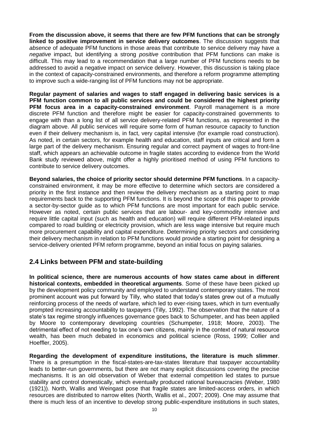**From the discussion above, it seems that there are few PFM functions that can be strongly linked to positive improvement in service delivery outcomes**. The discussion suggests that *absence* of adequate PFM functions in those areas that contribute to service delivery may have a *negative* impact, but identifying a strong *positive* contribution that PFM functions can make is difficult. This may lead to a recommendation that a large number of PFM functions needs to be addressed to avoid a negative impact on service delivery. However, this discussion is taking place in the context of capacity-constrained environments, and therefore a reform programme attempting to improve such a wide-ranging list of PFM functions may not be appropriate.

**Regular payment of salaries and wages to staff engaged in delivering basic services is a PFM function common to all public services and could be considered the highest priority PFM focus area in a capacity-constrained environment**. Payroll management is a more discrete PFM function and therefore might be easier for capacity-constrained governments to engage with than a long list of all service delivery-related PFM functions, as represented in the diagram above. All public services will require some form of human resource capacity to function even if their delivery mechanism is, in fact, very capital intensive (for example road construction). As noted, in certain sectors, for example health and education, staff inputs are critical and form a large part of the delivery mechanism. Ensuring regular and correct payment of wages to front-line staff, which appears an achievable outcome in fragile states according to evidence from the World Bank study reviewed above, might offer a highly prioritised method of using PFM functions to contribute to service delivery outcomes.

**Beyond salaries, the choice of priority sector should determine PFM functions**. In a capacityconstrained environment, it may be more effective to determine which sectors are considered a priority in the first instance and then review the delivery mechanism as a starting point to map requirements back to the supporting PFM functions. It is beyond the scope of this paper to provide a sector-by-sector guide as to which PFM functions are most important for each public service. However as noted, certain public services that are labour- and key-commodity intensive and require little capital input (such as health and education) will require different PFM-related inputs compared to road building or electricity provision, which are less wage intensive but require much more procurement capability and capital expenditure. Determining priority sectors and considering their delivery mechanism in relation to PFM functions would provide a starting point for designing a service-delivery oriented PFM reform programme, beyond an initial focus on paying salaries.

### <span id="page-19-0"></span>**2.4 Links between PFM and state-building**

**In political science, there are numerous accounts of how states came about in different historical contexts, embedded in theoretical arguments**. Some of these have been picked up by the development policy community and employed to understand contemporary states. The most prominent account was put forward by Tilly, who stated that today's states grew out of a mutually reinforcing process of the needs of warfare, which led to ever-rising taxes, which in turn eventually prompted increasing accountability to taxpayers (Tilly, 1992). The observation that the nature of a state's tax regime strongly influences governance goes back to Schumpeter, and has been applied by Moore to contemporary developing countries (Schumpeter, 1918; Moore, 2003). The detrimental effect of not needing to tax one's own citizens, mainly in the context of natural resource wealth, has been much debated in economics and political science (Ross, 1999; Collier and Hoeffler, 2005).

**Regarding the development of expenditure institutions, the literature is much slimmer**. There is a presumption in the fiscal-states-are-tax-states literature that taxpayer accountability leads to better-run governments, but there are not many explicit discussions covering the precise mechanisms. It is an old observation of Weber that external competition led states to pursue stability and control domestically, which eventually produced rational bureaucracies (Weber, 1980 (1921)). North, Wallis and Weingast pose that fragile states are limited-access orders, in which resources are distributed to narrow elites (North, Wallis et al., 2007; 2009). One may assume that there is much less of an incentive to develop strong public-expenditure institutions in such states,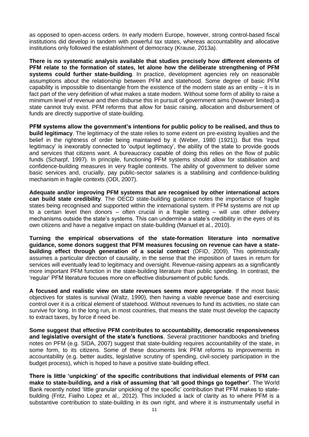as opposed to open-access orders. In early modern Europe, however, strong control-based fiscal institutions did develop in tandem with powerful tax states, whereas accountability and allocative institutions only followed the establishment of democracy (Krause, 2013a).

**There is no systematic analysis available that studies precisely how different elements of PFM relate to the formation of states, let alone how the deliberate strengthening of PFM systems could further state-building**. In practice, development agencies rely on reasonable assumptions about the relationship between PFM and statehood. Some degree of basic PFM capability is impossible to disentangle from the existence of the modern state as an entity – it is in fact part of the very definition of what makes a state modern. Without some form of ability to raise a minimum level of revenue and then disburse this in pursuit of government aims (however limited) a state cannot truly exist. PFM reforms that allow for basic raising, allocation and disbursement of funds are directly supportive of state-building.

**PFM systems allow the government's intentions for public policy to be realised, and thus to build legitimacy**. The legitimacy of the state relies to some extent on pre-existing loyalties and the belief in the rightness of order being maintained by it (Weber, 1980 (1921)). But this 'input legitimacy' is inexorably connected to 'output legitimacy', the ability of the state to provide goods and services that citizens want. A bureaucracy capable of doing this relies on the flow of public funds (Scharpf, 1997). In principle, functioning PFM systems should allow for stabilisation and confidence-building measures in very fragile contexts. The ability of government to deliver some basic services and, crucially, pay public-sector salaries is a stabilising and confidence-building mechanism in fragile contexts (ODI, 2007).

**Adequate and/or improving PFM systems that are recognised by other international actors can build state credibility**. The OECD state-building guidance notes the importance of fragile states being recognised and supported within the international system. If PFM systems are not up to a certain level then donors – often crucial in a fragile setting – will use other delivery mechanisms outside the state's systems. This can undermine a state's credibility in the eyes of its own citizens and have a negative impact on state-building (Manuel et al., 2010).

**Turning the empirical observations of the state-formation literature into normative guidance, some donors suggest that PFM measures focusing on revenue can have a statebuilding effect through generation of a social contract** (DFID, 2009). This optimistically assumes a particular direction of causality, in the sense that the imposition of taxes in return for services will eventually lead to legitimacy and oversight. Revenue-raising appears as a significantly more important PFM function in the state-building literature than public spending. In contrast, the 'regular' PFM literature focuses more on effective disbursement of public funds.

**A focused and realistic view on state revenues seems more appropriate**. If the most basic objectives for states is survival (Waltz, 1990), then having a viable revenue base and exercising control over it is a critical element of statehood. Without revenues to fund its activities, no state can survive for long. In the long run, in most countries, that means the state must develop the capacity to extract taxes, by force if need be.

**Some suggest that effective PFM contributes to accountability, democratic responsiveness and legislative oversight of the state's functions**. Several practitioner handbooks and briefing notes on PFM (e.g. SIDA, 2007) suggest that state-building requires accountability of the state, in some form, to its citizens. Some of these documents link PFM reforms to improvements in accountability (e.g. better audits, legislative scrutiny of spending, civil-society participation in the budget process), which is hoped to have a positive state-building effect.

**There is little 'unpicking' of the specific contributions that individual elements of PFM can make to state-building, and a risk of assuming that 'all good things go together'**. The World Bank recently noted 'little granular unpicking of the specific' contribution that PFM makes to statebuilding (Fritz, Fialho Lopez et al., 2012). This included a lack of clarity as to where PFM is a substantive contribution to state-building in its own right, and where it is instrumentally useful in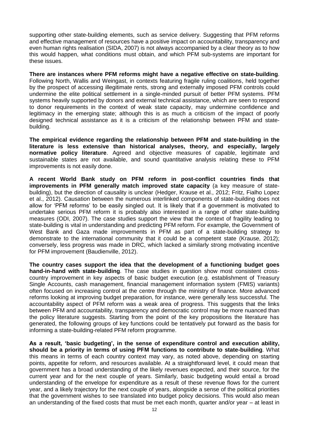supporting other state-building elements, such as service delivery. Suggesting that PFM reforms and effective management of resources have a positive impact on accountability, transparency and even human rights realisation (SIDA, 2007) is not always accompanied by a clear theory as to how this would happen, what conditions must obtain, and which PFM sub-systems are important for these issues.

**There are instances where PFM reforms might have a negative effective on state-building**. Following North, Wallis and Weingast, in contexts featuring fragile ruling coalitions, held together by the prospect of accessing illegitimate rents, strong and externally imposed PFM controls could undermine the elite political settlement in a single-minded pursuit of better PFM systems. PFM systems heavily supported by donors and external technical assistance, which are seen to respond to donor requirements in the context of weak state capacity, may undermine confidence and legitimacy in the emerging state; although this is as much a criticism of the impact of poorly designed technical assistance as it is a criticism of the relationship between PFM and statebuilding.

**The empirical evidence regarding the relationship between PFM and state-building in the literature is less extensive than historical analyses, theory, and especially, largely normative policy literature**. Agreed and objective measures of capable, legitimate and sustainable states are not available, and sound quantitative analysis relating these to PFM improvements is not easily done.

**A recent World Bank study on PFM reform in post-conflict countries finds that improvements in PFM generally match improved state capacity** (a key measure of statebuilding), but the direction of causality is unclear (Hedger, Krause et al., 2012; Fritz, Fialho Lopez et al., 2012). Causation between the numerous interlinked components of state-building does not allow for 'PFM reforms' to be easily singled out. It is likely that if a government is motivated to undertake serious PFM reform it is probably also interested in a range of other state-building measures (ODI, 2007). The case studies support the view that the context of fragility leading to state-building is vital in understanding and predicting PFM reform. For example, the Government of West Bank and Gaza made improvements in PFM as part of a state-building strategy to demonstrate to the international community that it could be a competent state (Krause, 2012); conversely, less progress was made in DRC, which lacked a similarly strong motivating incentive for PFM improvement (Baudienville, 2012).

**The country cases support the idea that the development of a functioning budget goes hand-in-hand with state-building**. The case studies in question show most consistent crosscountry improvement in key aspects of basic budget execution (e.g. establishment of Treasury Single Accounts, cash management, financial management information system (FMIS) variants) often focused on increasing control at the centre through the ministry of finance. More advanced reforms looking at improving budget preparation, for instance, were generally less successful. The accountability aspect of PFM reform was a weak area of progress. This suggests that the links between PFM and accountability, transparency and democratic control may be more nuanced than the policy literature suggests. Starting from the point of the key propositions the literature has generated, the following groups of key functions could be tentatively put forward as the basis for informing a state-building-related PFM reform programme.

**As a result, 'basic budgeting', in the sense of expenditure control and execution ability, should be a priority in terms of using PFM functions to contribute to state-building**. What this means in terms of each country context may vary, as noted above, depending on starting points, appetite for reform, and resources available. At a straightforward level, it could mean that government has a broad understanding of the likely revenues expected, and their source, for the current year and for the next couple of years. Similarly, basic budgeting would entail a broad understanding of the envelope for expenditure as a result of these revenue flows for the current year, and a likely trajectory for the next couple of years, alongside a sense of the political priorities that the government wishes to see translated into budget policy decisions. This would also mean an understanding of the fixed costs that must be met each month, quarter and/or year – at least in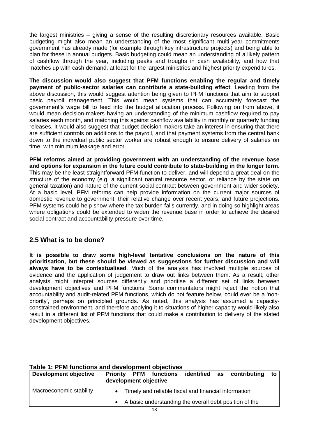the largest ministries – giving a sense of the resulting discretionary resources available. Basic budgeting might also mean an understanding of the most significant multi-year commitments government has already made (for example through key infrastructure projects) and being able to plan for these in annual budgets. Basic budgeting could mean an understanding of a likely pattern of cashflow through the year, including peaks and troughs in cash availability, and how that matches up with cash demand, at least for the largest ministries and highest priority expenditures.

**The discussion would also suggest that PFM functions enabling the regular and timely payment of public-sector salaries can contribute a state-building effect**. Leading from the above discussion, this would suggest attention being given to PFM functions that aim to support basic payroll management. This would mean systems that can accurately forecast the government's wage bill to feed into the budget allocation process. Following on from above, it would mean decision-makers having an understanding of the minimum cashflow required to pay salaries each month, and matching this against cashflow availability in monthly or quarterly funding releases. It would also suggest that budget decision-makers take an interest in ensuring that there are sufficient controls on additions to the payroll, and that payment systems from the central bank down to the individual public sector worker are robust enough to ensure delivery of salaries on time, with minimum leakage and error.

**PFM reforms aimed at providing government with an understanding of the revenue base and options for expansion in the future could contribute to state-building in the longer term**. This may be the least straightforward PFM function to deliver, and will depend a great deal on the structure of the economy (e.g. a significant natural resource sector, or reliance by the state on general taxation) and nature of the current social contract between government and wider society. At a basic level, PFM reforms can help provide information on the current major sources of domestic revenue to government, their relative change over recent years, and future projections. PFM systems could help show where the tax burden falls currently, and in doing so highlight areas where obligations could be extended to widen the revenue base in order to achieve the desired social contract and accountability pressure over time.

### <span id="page-22-0"></span>**2.5 What is to be done?**

**It is possible to draw some high-level tentative conclusions on the nature of this prioritisation, but these should be viewed as suggestions for further discussion and will always have to be contextualised**. Much of the analysis has involved multiple sources of evidence and the application of judgement to draw out links between them. As a result, other analysts might interpret sources differently and prioritise a different set of links between development objectives and PFM functions. Some commentators might reject the notion that accountability and audit-related PFM functions, which do not feature below, could ever be a 'nonpriority', perhaps on principled grounds. As noted, this analysis has assumed a capacityconstrained environment, and therefore applying it to situations of higher capacity would likely also result in a different list of PFM functions that could make a contribution to delivery of the stated development objectives.

| Development objective   | <b>Priority</b><br>development objective |  |                                                      | <b>PFM</b> functions identified as contributing        | to |
|-------------------------|------------------------------------------|--|------------------------------------------------------|--------------------------------------------------------|----|
| Macroeconomic stability |                                          |  | Timely and reliable fiscal and financial information |                                                        |    |
|                         |                                          |  |                                                      | A basic understanding the overall debt position of the |    |

#### <span id="page-22-1"></span>**Table 1: PFM functions and development objectives**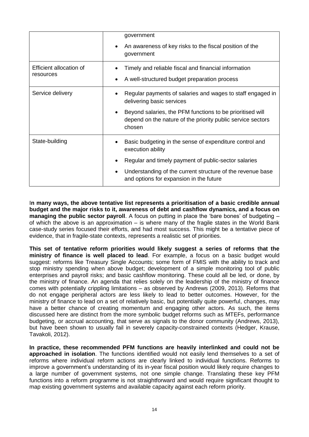|                                      | government<br>An awareness of key risks to the fiscal position of the<br>$\bullet$<br>government                                                                                                                                              |
|--------------------------------------|-----------------------------------------------------------------------------------------------------------------------------------------------------------------------------------------------------------------------------------------------|
| Efficient allocation of<br>resources | Timely and reliable fiscal and financial information<br>A well-structured budget preparation process                                                                                                                                          |
| Service delivery                     | Regular payments of salaries and wages to staff engaged in<br>delivering basic services<br>Beyond salaries, the PFM functions to be prioritised will<br>depend on the nature of the priority public service sectors<br>chosen                 |
| State-building                       | Basic budgeting in the sense of expenditure control and<br>execution ability<br>Regular and timely payment of public-sector salaries<br>Understanding of the current structure of the revenue base<br>and options for expansion in the future |

I**n many ways, the above tentative list represents a prioritisation of a basic credible annual budget and the major risks to it, awareness of debt and cashflow dynamics, and a focus on managing the public sector payroll**. A focus on putting in place the 'bare bones' of budgeting – of which the above is an approximation – is where many of the fragile states in the World Bank case-study series focused their efforts, and had most success. This might be a tentative piece of evidence, that in fragile-state contexts, represents a realistic set of priorities.

**This set of tentative reform priorities would likely suggest a series of reforms that the ministry of finance is well placed to lead**. For example, a focus on a basic budget would suggest: reforms like Treasury Single Accounts; some form of FMIS with the ability to track and stop ministry spending when above budget; development of a simple monitoring tool of public enterprises and payroll risks; and basic cashflow monitoring. These could all be led, or done, by the ministry of finance. An agenda that relies solely on the leadership of the ministry of finance comes with potentially crippling limitations – as observed by Andrews (2009, 2013). Reforms that do not engage peripheral actors are less likely to lead to better outcomes. However, for the ministry of finance to lead on a set of relatively basic, but potentially quite powerful, changes, may have a better chance of creating momentum and engaging other actors. As such, the items discussed here are distinct from the more symbolic budget reforms such as MTEFs, performance budgeting, or accrual accounting, that serve as signals to the donor community (Andrews, 2013), but have been shown to usually fail in severely capacity-constrained contexts (Hedger, Krause, Tavakoli, 2012).

**In practice, these recommended PFM functions are heavily interlinked and could not be approached in isolation**. The functions identified would not easily lend themselves to a set of reforms where individual reform actions are clearly linked to individual functions. Reforms to improve a government's understanding of its in-year fiscal position would likely require changes to a large number of government systems, not one simple change. Translating these key PFM functions into a reform programme is not straightforward and would require significant thought to map existing government systems and available capacity against each reform priority.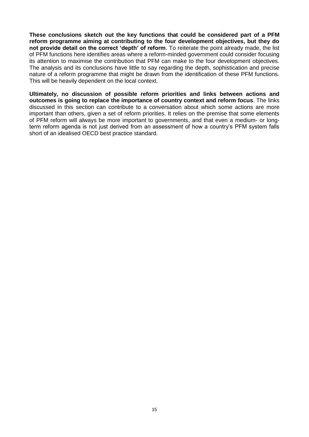**These conclusions sketch out the key functions that could be considered part of a PFM reform programme aiming at contributing to the four development objectives, but they do not provide detail on the correct 'depth' of reform**. To reiterate the point already made, the list of PFM functions here identifies areas where a reform-minded government could consider focusing its attention to maximise the contribution that PFM can make to the four development objectives. The analysis and its conclusions have little to say regarding the depth, sophistication and precise nature of a reform programme that might be drawn from the identification of these PFM functions. This will be heavily dependent on the local context.

**Ultimately, no discussion of possible reform priorities and links between actions and outcomes is going to replace the importance of country context and reform focus**. The links discussed in this section can contribute to a conversation about which some actions are more important than others, given a set of reform priorities. It relies on the premise that some elements of PFM reform will always be more important to governments, and that even a medium- or longterm reform agenda is not just derived from an assessment of how a country's PFM system falls short of an idealised OECD best practice standard.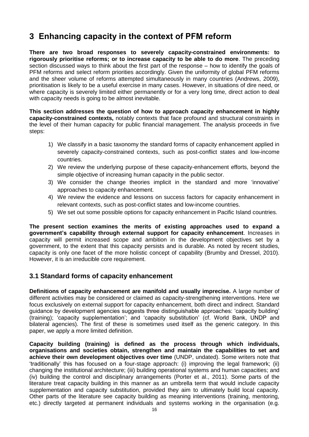# <span id="page-25-0"></span>**3 Enhancing capacity in the context of PFM reform**

**There are two broad responses to severely capacity-constrained environments: to rigorously prioritise reforms; or to increase capacity to be able to do more**. The preceding section discussed ways to think about the first part of the response – how to identify the goals of PFM reforms and select reform priorities accordingly. Given the uniformity of global PFM reforms and the sheer volume of reforms attempted simultaneously in many countries (Andrews, 2009), prioritisation is likely to be a useful exercise in many cases. However, in situations of dire need, or where capacity is severely limited either permanently or for a very long time, direct action to deal with capacity needs is going to be almost inevitable.

**This section addresses the question of how to approach capacity enhancement in highly capacity-constrained contexts,** notably contexts that face profound and structural constraints in the level of their human capacity for public financial management. The analysis proceeds in five steps:

- 1) We classify in a basic taxonomy the standard forms of capacity enhancement applied in severely capacity-constrained contexts, such as post-conflict states and low-income countries.
- 2) We review the underlying purpose of these capacity-enhancement efforts, beyond the simple objective of increasing human capacity in the public sector.
- 3) We consider the change theories implicit in the standard and more 'innovative' approaches to capacity enhancement.
- 4) We review the evidence and lessons on success factors for capacity enhancement in relevant contexts, such as post-conflict states and low-income countries.
- 5) We set out some possible options for capacity enhancement in Pacific Island countries.

**The present section examines the merits of existing approaches used to expand a government's capability through external support for capacity enhancement**. Increases in capacity will permit increased scope and ambition in the development objectives set by a government, to the extent that this capacity persists and is durable. As noted by recent studies, capacity is only one facet of the more holistic concept of capability (Brumby and Dressel, 2010). However, it is an irreducible core requirement.

# <span id="page-25-1"></span>**3.1 Standard forms of capacity enhancement**

**Definitions of capacity enhancement are manifold and usually imprecise.** A large number of different activities may be considered or claimed as capacity-strengthening interventions. Here we focus exclusively on external support for capacity enhancement, both direct and indirect. Standard guidance by development agencies suggests three distinguishable approaches: 'capacity building' (training); 'capacity supplementation'; and 'capacity substitution' (cf. World Bank, UNDP and bilateral agencies). The first of these is sometimes used itself as the generic category. In this paper, we apply a more limited definition.

**Capacity building (training) is defined as the process through which individuals, organisations and societies obtain, strengthen and maintain the capabilities to set and achieve their own development objectives over time** (UNDP, undated). Some writers note that 'traditionally' this has focused on a four-stage approach: (i) improving the legal framework; (ii) changing the institutional architecture; (iii) building operational systems and human capacities; and (iv) building the control and disciplinary arrangements (Porter et al., 2011). Some parts of the literature treat capacity building in this manner as an umbrella term that would include capacity supplementation and capacity substitution, provided they aim to ultimately build local capacity. Other parts of the literature see capacity building as meaning interventions (training, mentoring, etc.) directly targeted at permanent individuals and systems working in the organisation (e.g.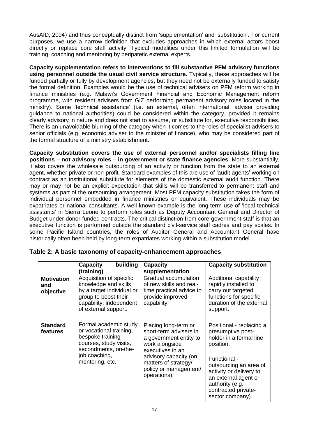AusAID, 2004) and thus conceptually distinct from 'supplementation' and 'substitution'. For current purposes, we use a narrow definition that excludes approaches in which external actors boost directly or replace core staff activity. Typical modalities under this limited formulation will be training, coaching and mentoring by peripatetic external experts.

**Capacity supplementation refers to interventions to fill substantive PFM advisory functions using personnel outside the usual civil service structure.** Typically, these approaches will be funded partially or fully by development agencies, but they need not be externally funded to satisfy the formal definition. Examples would be the use of technical advisers on PFM reform working in finance ministries (e.g. Malawi's Government Financial and Economic Management reform programme, with resident advisers from GiZ performing permanent advisory roles located in the ministry). Some 'technical assistance' (i.e. an external, often international, adviser providing guidance to national authorities) could be considered within the category, provided it remains clearly advisory in nature and does not start to assume, or substitute for, executive responsibilities. There is an unavoidable blurring of the category when it comes to the roles of specialist advisers to senior officials (e.g. economic adviser to the minister of finance), who may be considered part of the formal structure of a ministry establishment.

**Capacity substitution covers the use of external personnel and/or specialists filling line positions – not advisory roles – in government or state finance agencies**. More substantially, it also covers the wholesale outsourcing of an activity or function from the state to an external agent, whether private or non-profit. Standard examples of this are use of 'audit agents' working on contract as an institutional substitute for elements of the domestic external audit function. There may or may not be an explicit expectation that skills will be transferred to permanent staff and systems as part of the outsourcing arrangement. Most PFM capacity substitution takes the form of individual personnel embedded in finance ministries or equivalent. These individuals may be expatriates or national consultants. A well-known example is the long-term use of 'local technical assistants' in Sierra Leone to perform roles such as Deputy Accountant General and Director of Budget under donor-funded contracts. The critical distinction from core government staff is that an executive function is performed outside the standard civil-service staff cadres and pay scales. In some Pacific Island countries, the roles of Auditor General and Accountant General have historically often been held by long-term expatriates working within a substitution model.

|                                                                                                                                                                                                  | building<br><b>Capacity</b><br>(training)                                                                                               | <b>Capacity</b><br>supplementation                                                                                                      | <b>Capacity substitution</b>                                                                                                            |
|--------------------------------------------------------------------------------------------------------------------------------------------------------------------------------------------------|-----------------------------------------------------------------------------------------------------------------------------------------|-----------------------------------------------------------------------------------------------------------------------------------------|-----------------------------------------------------------------------------------------------------------------------------------------|
| Acquisition of specific<br><b>Motivation</b><br>knowledge and skills<br>and<br>by a target individual or<br>objective<br>group to boost their<br>capability, independent<br>of external support. |                                                                                                                                         | Gradual accumulation<br>of new skills and real-<br>time practical advice to<br>provide improved<br>capability.                          | Additional capability<br>rapidly installed to<br>carry out targeted<br>functions for specific<br>duration of the external<br>support.   |
| <b>Standard</b><br>features                                                                                                                                                                      | Formal academic study<br>or vocational training,<br>bespoke training<br>courses, study visits,<br>secondments, on-the-<br>job coaching, | Placing long-term or<br>short-term advisers in<br>a government entity to<br>work alongside<br>executives in an<br>advisory capacity (on | Positional - replacing a<br>presumptive post-<br>holder in a formal line<br>position.<br>Functional -                                   |
|                                                                                                                                                                                                  | mentoring, etc.                                                                                                                         | matters of strategy/<br>policy or management/<br>operations).                                                                           | outsourcing an area of<br>activity or delivery to<br>an external agent or<br>authority (e.g.<br>contracted private-<br>sector company). |

<span id="page-26-0"></span>

|  |  | Table 2: A basic taxonomy of capacity-enhancement approaches |  |
|--|--|--------------------------------------------------------------|--|
|--|--|--------------------------------------------------------------|--|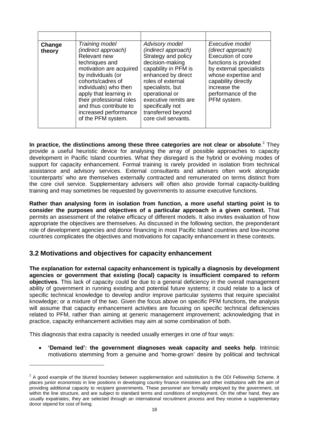| Change<br>theory | Training model<br>(indirect approach)<br>Relevant new<br>techniques and<br>motivation are acquired<br>by individuals (or<br>cohorts/cadres of<br>individuals) who then<br>apply that learning in<br>their professional roles<br>and thus contribute to<br>increased performance<br>of the PFM system. | <b>Advisory model</b><br>(indirect approach)<br>Strategy and policy<br>decision-making<br>capability in PFM is<br>enhanced by direct<br>roles of external<br>specialists, but<br>operational or<br>executive remits are<br>specifically not<br>transferred beyond<br>core civil servants. | Executive model<br>(direct approach)<br>Execution of core<br>functions is provided<br>by external specialists<br>whose expertise and<br>capability directly<br>increase the<br>performance of the<br>PFM system. |
|------------------|-------------------------------------------------------------------------------------------------------------------------------------------------------------------------------------------------------------------------------------------------------------------------------------------------------|-------------------------------------------------------------------------------------------------------------------------------------------------------------------------------------------------------------------------------------------------------------------------------------------|------------------------------------------------------------------------------------------------------------------------------------------------------------------------------------------------------------------|

**In practice, the distinctions among these three categories are not clear or absolute**. <sup>2</sup> They provide a useful heuristic device for analysing the array of possible approaches to capacity development in Pacific Island countries. What they disregard is the hybrid or evolving modes of support for capacity enhancement. Formal training is rarely provided in isolation from technical assistance and advisory services. External consultants and advisers often work alongside 'counterparts' who are themselves externally contracted and remunerated on terms distinct from the core civil service. Supplementary advisers will often also provide formal capacity-building training and may sometimes be requested by governments to assume executive functions.

**Rather than analysing form in isolation from function, a more useful starting point is to consider the purposes and objectives of a particular approach in a given context.** That permits an assessment of the relative efficacy of different models. It also invites evaluation of how appropriate the objectives are themselves. As discussed in the following section, the preponderant role of development agencies and donor financing in most Pacific Island countries and low-income countries complicates the objectives and motivations for capacity enhancement in these contexts.

### <span id="page-27-0"></span>**3.2 Motivations and objectives for capacity enhancement**

**The explanation for external capacity enhancement is typically a diagnosis by development agencies or government that existing (local) capacity is insufficient compared to reform objectives**. This lack of capacity could be due to a general deficiency in the overall management ability of government in running existing and potential future systems; it could relate to a lack of specific technical knowledge to develop and/or improve particular systems that require specialist knowledge; or a mixture of the two. Given the focus above on specific PFM functions, the analysis will assume that capacity enhancement activities are focusing on specific technical deficiencies related to PFM, rather than aiming at generic management improvement; acknowledging that in practice, capacity enhancement activities may aim at some combination of both.

This diagnosis that extra capacity is needed usually emerges in one of four ways:

-

 **'Demand led': the government diagnoses weak capacity and seeks help**. Intrinsic motivations stemming from a genuine and 'home-grown' desire by political and technical

 $2$  A good example of the blurred boundary between supplementation and substitution is the ODI Fellowship Scheme. It places junior economists in line positions in developing country finance ministries and other institutions with the aim of providing additional capacity to recipient governments. These personnel are formally employed by the government, sit within the line structure, and are subject to standard terms and conditions of employment. On the other hand, they are usually expatriates, they are selected through an international recruitment process and they receive a supplementary donor stipend for cost of living.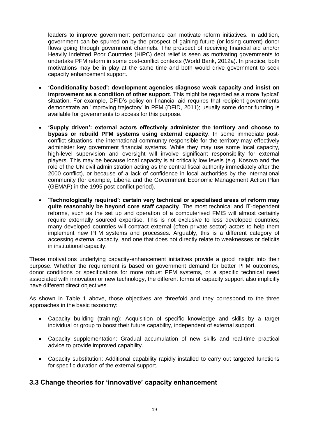leaders to improve government performance can motivate reform initiatives. In addition, government can be spurred on by the prospect of gaining future (or losing current) donor flows going through government channels. The prospect of receiving financial aid and/or Heavily Indebted Poor Countries (HIPC) debt relief is seen as motivating governments to undertake PFM reform in some post-conflict contexts (World Bank, 2012a). In practice, both motivations may be in play at the same time and both would drive government to seek capacity enhancement support.

- **'Conditionality based': development agencies diagnose weak capacity and insist on improvement as a condition of other support**. This might be regarded as a more 'typical' situation. For example, DFID's policy on financial aid requires that recipient governments demonstrate an 'improving trajectory' in PFM (DFID, 2011); usually some donor funding is available for governments to access for this purpose.
- **'Supply driven': external actors effectively administer the territory and choose to bypass or rebuild PFM systems using external capacity**. In some immediate postconflict situations, the international community responsible for the territory may effectively administer key government financial systems. While they may use some local capacity, high-level supervision and oversight will involve significant responsibility for external players. This may be because local capacity is at critically low levels (e.g. Kosovo and the role of the UN civil administration acting as the central fiscal authority immediately after the 2000 conflict), or because of a lack of confidence in local authorities by the international community (for example, Liberia and the Government Economic Management Action Plan (GEMAP) in the 1995 post-conflict period).
- '**Technologically required': certain very technical or specialised areas of reform may quite reasonably be beyond core staff capacity**. The most technical and IT-dependent reforms, such as the set up and operation of a computerised FMIS will almost certainly require externally sourced expertise. This is not exclusive to less developed countries; many developed countries will contract external (often private-sector) actors to help them implement new PFM systems and processes. Arguably, this is a different category of accessing external capacity, and one that does not directly relate to weaknesses or deficits in institutional capacity.

These motivations underlying capacity-enhancement initiatives provide a good insight into their purpose. Whether the requirement is based on government demand for better PFM outcomes, donor conditions or specifications for more robust PFM systems, or a specific technical need associated with innovation or new technology, the different forms of capacity support also implicitly have different direct objectives.

As shown in Table 1 above, those objectives are threefold and they correspond to the three approaches in the basic taxonomy:

- Capacity building (training): Acquisition of specific knowledge and skills by a target individual or group to boost their future capability, independent of external support.
- Capacity supplementation: Gradual accumulation of new skills and real-time practical advice to provide improved capability.
- Capacity substitution: Additional capability rapidly installed to carry out targeted functions for specific duration of the external support.

### <span id="page-28-0"></span>**3.3 Change theories for 'innovative' capacity enhancement**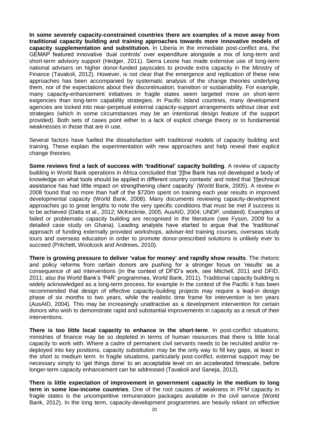**In some severely capacity-constrained countries there are examples of a move away from traditional capacity building and training approaches towards more innovative models of capacity supplementation and substitution.** In Liberia in the immediate post-conflict era, the GEMAP featured innovative 'dual controls' over expenditure alongside a mix of long-term and short-term advisory support (Hedger, 2011). Sierra Leone has made extensive use of long-term national advisers on higher donor-funded payscales to provide extra capacity in the Ministry of Finance (Tavakoli, 2012). However, is not clear that the emergence and replication of these new approaches has been accompanied by systematic analysis of the change theories underlying them, nor of the expectations about their discontinuation, transition or sustainability. For example, many capacity-enhancement initiatives in fragile states seem targeted more on short-term exigencies than long-term capability strategies. In Pacific Island countries, many development agencies are locked into near-perpetual external capacity-support arrangements without clear exit strategies (which in some circumstances may be an intentional design feature of the support provided). Both sets of cases point either to a lack of explicit change theory or to fundamental weaknesses in those that are in use.

Several factors have fuelled the dissatisfaction with traditional models of capacity building and training. These explain the experimentation with new approaches and help reveal their explicit change theories.

**Some reviews find a lack of success with 'traditional' capacity building**. A review of capacity building in World Bank operations in Africa concluded that '[t]he Bank has not developed a body of knowledge on what tools should be applied in different country contexts' and noted that '[t]echnical assistance has had little impact on strengthening client capacity' (World Bank, 2005). A review in 2008 found that no more than half of the \$720m spent on training each year results in improved developmental capacity (World Bank, 2008). Many documents reviewing capacity-development approaches go to great lengths to note the very specific conditions that must be met if success is to be achieved (Datta et al., 2012; McKecknie, 2005; AusAID, 2004; UNDP, undated). Examples of failed or problematic capacity building are recognised in the literature (see Fyson, 2009 for a detailed case study on Ghana). Leading analysts have started to argue that the 'traditional' approach of funding externally provided workshops, adviser-led training courses, overseas study tours and overseas education in order to promote donor-prescribed solutions is unlikely ever to succeed (Pritchett, Woolcock and Andrews, 2010).

**There is growing pressure to deliver 'value for money' and rapidly show results**. The rhetoric and policy reforms from certain donors are pushing for a stronger focus on 'results' as a consequence of aid interventions (in the context of DFID's work, see Mitchell, 2011 and DFID, 2011; also the World Bank's 'P4R' programmes, World Bank, 2011). Traditional capacity building is widely acknowledged as a long-term process, for example in the context of the Pacific it has been recommended that design of effective capacity-building projects may require a lead-in design phase of six months to two years, while the realistic time frame for intervention is ten years (AusAID, 2004). This may be increasingly unattractive as a development intervention for certain donors who wish to demonstrate rapid and substantial improvements in capacity as a result of their interventions.

**There is too little local capacity to enhance in the short-term**. In post-conflict situations, ministries of finance may be so depleted in terms of human resources that there is little local capacity to work with. Where a cadre of permanent civil servants needs to be recruited and/or redeployed into key positions, capacity substitution may be the only way to fill key gaps, at least in the short to medium term. In fragile situations, particularly post-conflict, external support may be necessary simply to 'get things done' to an acceptable level on an accelerated timescale, before longer-term capacity enhancement can be addressed (Tavakoli and Saneja, 2012).

**There is little expectation of improvement in government capacity in the medium to long term in some low-income countries**. One of the root causes of weakness in PFM capacity in fragile states is the uncompetitive remuneration packages available in the civil service (World Bank, 2012). In the long term, capacity-development programmes are heavily reliant on effective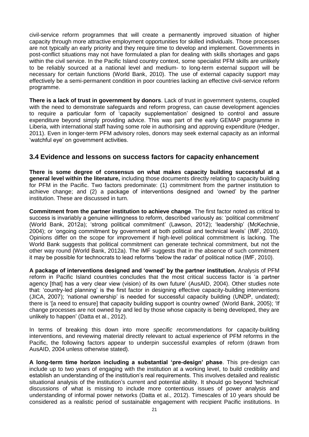civil-service reform programmes that will create a permanently improved situation of higher capacity through more attractive employment opportunities for skilled individuals. Those processes are not typically an early priority and they require time to develop and implement. Governments in post-conflict situations may not have formulated a plan for dealing with skills shortages and gaps within the civil service. In the Pacific Island country context, some specialist PFM skills are unlikely to be reliably sourced at a national level and medium- to long-term external support will be necessary for certain functions (World Bank, 2010). The use of external capacity support may effectively be a semi-permanent condition in poor countries lacking an effective civil-service reform programme.

**There is a lack of trust in government by donors**. Lack of trust in government systems, coupled with the need to demonstrate safeguards and reform progress, can cause development agencies to require a particular form of 'capacity supplementation' designed to control and assure expenditure beyond simply providing advice. This was part of the early GEMAP programme in Liberia, with international staff having some role in authorising and approving expenditure (Hedger, 2011). Even in longer-term PFM advisory roles, donors may seek external capacity as an informal 'watchful eye' on government activities.

### <span id="page-30-0"></span>**3.4 Evidence and lessons on success factors for capacity enhancement**

**There is some degree of consensus on what makes capacity building successful at a general level within the literature,** including those documents directly relating to capacity building for PFM in the Pacific. Two factors predominate: (1) commitment from the partner institution to achieve change; and (2) a package of interventions designed and 'owned' by the partner institution. These are discussed in turn.

**Commitment from the partner institution to achieve change**. The first factor noted as critical to success is invariably a genuine willingness to reform, described variously as: 'political commitment' (World Bank, 2012a); 'strong political commitment' (Lawson, 2012); 'leadership' (McKechnie, 2004); or 'ongoing commitment by government at both political and technical levels' (IMF, 2010). Opinions differ on the scope for improvement if high-level political commitment is lacking. The World Bank suggests that political commitment can generate technical commitment, but not the other way round (World Bank, 2012a). The IMF suggests that in the absence of such commitment it may be possible for technocrats to lead reforms 'below the radar' of political notice (IMF, 2010).

**A package of interventions designed and 'owned' by the partner institution.** Analysis of PFM reform in Pacific Island countries concludes that the most critical success factor is 'a partner agency [that] has a very clear view (vision) of its own future' (AusAID, 2004). Other studies note that: 'country-led planning' is the first factor in designing effective capacity-building interventions (JICA, 2007); 'national ownership' is needed for successful capacity building (UNDP, undated); there is '[a need to ensure] that capacity building support is country owned' (World Bank, 2005); 'If change processes are not owned by and led by those whose capacity is being developed, they are unlikely to happen' (Datta et al., 2012).

In terms of breaking this down into more *specific recommendations* for capacity-building interventions, and reviewing material directly relevant to actual experience of PFM reforms in the Pacific, the following factors appear to underpin successful examples of reform (drawn from AusAID, 2004 unless otherwise stated).

**A long-term time horizon including a substantial 'pre-design' phase**. This pre-design can include up to two years of engaging with the institution at a working level, to build credibility and establish an understanding of the institution's real requirements. This involves detailed and realistic situational analysis of the institution's current and potential ability. It should go beyond 'technical' discussions of what is missing to include more contentious issues of power analysis and understanding of informal power networks (Datta et al., 2012). Timescales of 10 years should be considered as a realistic period of sustainable engagement with recipient Pacific institutions. In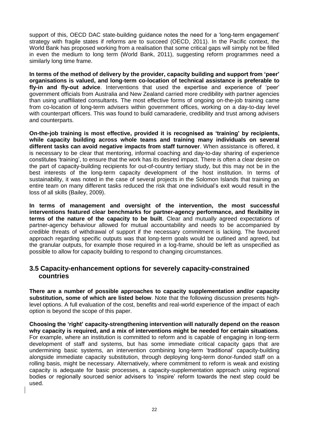support of this, OECD DAC state-building guidance notes the need for a 'long-term engagement' strategy with fragile states if reforms are to succeed (OECD, 2011). In the Pacific context, the World Bank has proposed working from a realisation that some critical gaps will simply not be filled in even the medium to long term (World Bank, 2011), suggesting reform programmes need a similarly long time frame.

**In terms of the method of delivery by the provider, capacity building and support from 'peer' organisations is valued, and long-term co-location of technical assistance is preferable to fly-in and fly-out advice**. Interventions that used the expertise and experience of 'peer' government officials from Australia and New Zealand carried more credibility with partner agencies than using unaffiliated consultants. The most effective forms of ongoing on-the-job training came from co-location of long-term advisers within government offices, working on a day-to-day level with counterpart officers. This was found to build camaraderie, credibility and trust among advisers and counterparts.

**On-the-job training is most effective, provided it is recognised as 'training' by recipients, while capacity building across whole teams and training many individuals on several different tasks can avoid negative impacts from staff turnover**. When assistance is offered, it is necessary to be clear that mentoring, informal coaching and day-to-day sharing of experience constitutes 'training', to ensure that the work has its desired impact. There is often a clear desire on the part of capacity-building recipients for out-of-country tertiary study, but this may not be in the best interests of the long-term capacity development of the host institution. In terms of sustainability, it was noted in the case of several projects in the Solomon Islands that training an entire team on many different tasks reduced the risk that one individual's exit would result in the loss of all skills (Bailey, 2009).

**In terms of management and oversight of the intervention, the most successful interventions featured clear benchmarks for partner-agency performance, and flexibility in terms of the nature of the capacity to be built**. Clear and mutually agreed expectations of partner-agency behaviour allowed for mutual accountability and needs to be accompanied by credible threats of withdrawal of support if the necessary commitment is lacking. The favoured approach regarding specific outputs was that long-term goals would be outlined and agreed, but the granular outputs, for example those required in a log-frame, should be left as unspecified as possible to allow for capacity building to respond to changing circumstances.

### <span id="page-31-0"></span>**3.5 Capacity-enhancement options for severely capacity-constrained countries**

**There are a number of possible approaches to capacity supplementation and/or capacity substitution, some of which are listed below**. Note that the following discussion presents highlevel options. A full evaluation of the cost, benefits and real-world experience of the impact of each option is beyond the scope of this paper.

**Choosing the 'right' capacity-strengthening intervention will naturally depend on the reason why capacity is required, and a mix of interventions might be needed for certain situations**. For example, where an institution is committed to reform and is capable of engaging in long-term development of staff and systems, but has some immediate critical capacity gaps that are undermining basic systems, an intervention combining long-term 'traditional' capacity-building alongside immediate capacity substitution, through deploying long-term donor-funded staff on a rolling basis, might be necessary. Alternatively, where commitment to reform is weak and existing capacity is adequate for basic processes, a capacity-supplementation approach using regional bodies or regionally sourced senior advisers to 'inspire' reform towards the next step could be used.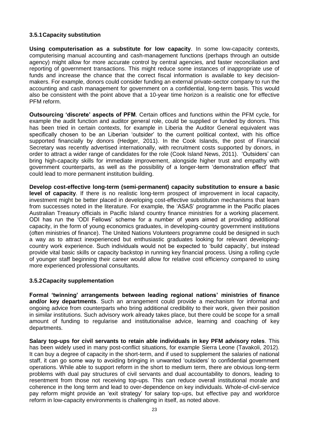#### <span id="page-32-0"></span>**3.5.1Capacity substitution**

**Using computerisation as a substitute for low capacity**. In some low-capacity contexts, computerising manual accounting and cash-management functions (perhaps through an outside agency) might allow for more accurate control by central agencies, and faster reconciliation and reporting of government transactions. This might reduce some instances of inappropriate use of funds and increase the chance that the correct fiscal information is available to key decisionmakers. For example, donors could consider funding an external private-sector company to run the accounting and cash management for government on a confidential, long-term basis. This would also be consistent with the point above that a 10-year time horizon is a realistic one for effective PFM reform.

**Outsourcing 'discrete' aspects of PFM**. Certain offices and functions within the PFM cycle, for example the audit function and auditor general role, could be supplied or funded by donors. This has been tried in certain contexts, for example in Liberia the Auditor General equivalent was specifically chosen to be an Liberian 'outsider' to the current political context, with his office supported financially by donors (Hedger, 2011). In the Cook Islands, the post of Financial Secretary was recently advertised internationally, with recruitment costs supported by donors, in order to attract a wider range of candidates for the role (Cook Island News, 2011). 'Outsiders' can bring high-capacity skills for immediate improvement, alongside higher trust and empathy with government counterparts, as well as the possibility of a longer-term 'demonstration effect' that could lead to more permanent institution building.

**Develop cost-effective long-term (semi-permanent) capacity substitution to ensure a basic level of capacity**. If there is no realistic long-term prospect of improvement in local capacity, investment might be better placed in developing cost-effective substitution mechanisms that learn from successes noted in the literature. For example, the 'ASAS' programme in the Pacific places Australian Treasury officials in Pacific Island country finance ministries for a working placement. ODI has run the 'ODI Fellows' scheme for a number of years aimed at providing additional capacity, in the form of young economics graduates, in developing-country government institutions (often ministries of finance). The United Nations Volunteers programme could be designed in such a way as to attract inexperienced but enthusiastic graduates looking for relevant developingcountry work experience. Such individuals would not be expected to 'build capacity', but instead provide vital basic skills or capacity backstop in running key financial process. Using a rolling cycle of younger staff beginning their career would allow for relative cost efficiency compared to using more experienced professional consultants.

#### <span id="page-32-1"></span>**3.5.2Capacity supplementation**

**Formal 'twinning' arrangements between leading regional nations' ministries of finance and/or key departments**. Such an arrangement could provide a mechanism for informal and ongoing advice from counterparts who bring additional credibility to their work, given their position in similar institutions. Such advisory work already takes place, but there could be scope for a small amount of funding to regularise and institutionalise advice, learning and coaching of key departments.

**Salary top-ups for civil servants to retain able individuals in key PFM advisory roles**. This has been widely used in many post-conflict situations, for example Sierra Leone (Tavakoli, 2012). It can buy a degree of capacity in the short-term, and if used to supplement the salaries of national staff, it can go some way to avoiding bringing in unwanted 'outsiders' to confidential government operations. While able to support reform in the short to medium term, there are obvious long-term problems with dual pay structures of civil servants and dual accountability to donors, leading to resentment from those not receiving top-ups. This can reduce overall institutional morale and coherence in the long term and lead to over-dependence on key individuals. Whole-of-civil-service pay reform might provide an 'exit strategy' for salary top-ups, but effective pay and workforce reform in low-capacity environments is challenging in itself, as noted above.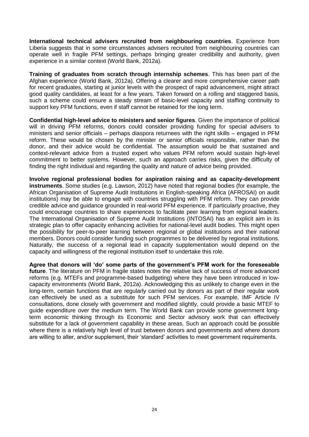**International technical advisers recruited from neighbouring countries**. Experience from Liberia suggests that in some circumstances advisers recruited from neighbouring countries can operate well in fragile PFM settings, perhaps bringing greater credibility and authority, given experience in a similar context (World Bank, 2012a).

**Training of graduates from scratch through internship schemes**. This has been part of the Afghan experience (World Bank, 2012a). Offering a clearer and more comprehensive career path for recent graduates, starting at junior levels with the prospect of rapid advancement, might attract good quality candidates, at least for a few years. Taken forward on a rolling and staggered basis, such a scheme could ensure a steady stream of basic-level capacity and staffing continuity to support key PFM functions, even if staff cannot be retained for the long term.

**Confidential high-level advice to ministers and senior figures**. Given the importance of political will in driving PFM reforms, donors could consider providing funding for special advisers to ministers and senior officials – perhaps diaspora returnees with the right skills – engaged in PFM reform. These would be chosen by the minister or senior officials responsible, rather than the donor, and their advice would be confidential. The assumption would be that sustained and context-relevant advice from a trusted expert who values PFM reform would sustain high-level commitment to better systems. However, such an approach carries risks, given the difficulty of finding the right individual and regarding the quality and nature of advice being provided.

**Involve regional professional bodies for aspiration raising and as capacity-development instruments**. Some studies (e.g. Lawson, 2012) have noted that regional bodies (for example, the African Organisation of Supreme Audit Institutions in English-speaking Africa (AFROSAI) on audit institutions) may be able to engage with countries struggling with PFM reform. They can provide credible advice and guidance grounded in real-world PFM experience. If particularly proactive, they could encourage countries to share experiences to facilitate peer learning from regional leaders. The International Organisation of Supreme Audit Institutions (INTOSAI) has an explicit aim in its strategic plan to offer capacity enhancing activities for national-level audit bodies. This might open the possibility for peer-to-peer learning between regional or global institutions and their national members. Donors could consider funding such programmes to be delivered by regional institutions. Naturally, the success of a regional lead in capacity supplementation would depend on the capacity and willingness of the regional institution itself to undertake this role.

**Agree that donors will 'do' some parts of the government's PFM work for the foreseeable future**. The literature on PFM in fragile states notes the relative lack of success of more advanced reforms (e.g. MTEFs and programme-based budgeting) where they have been introduced in lowcapacity environments (World Bank, 2012a). Acknowledging this as unlikely to change even in the long-term, certain functions that are regularly carried out by donors as part of their regular work can effectively be used as a substitute for such PFM services. For example, IMF Article IV consultations, done closely with government and modified slightly, could provide a basic MTEF to guide expenditure over the medium term. The World Bank can provide some government longterm economic thinking through its Economic and Sector advisory work that can effectively substitute for a lack of government capability in these areas. Such an approach could be possible where there is a relatively high level of trust between donors and governments and where donors are willing to alter, and/or supplement, their 'standard' activities to meet government requirements.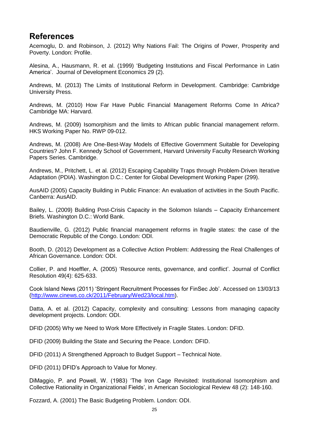# <span id="page-34-0"></span>**References**

Acemoglu, D. and Robinson, J. (2012) Why Nations Fail: The Origins of Power, Prosperity and Poverty. London: Profile.

Alesina, A., Hausmann, R. et al. (1999) 'Budgeting Institutions and Fiscal Performance in Latin America'. Journal of Development Economics 29 (2).

Andrews, M. (2013) The Limits of Institutional Reform in Development. Cambridge: Cambridge University Press.

Andrews, M. (2010) How Far Have Public Financial Management Reforms Come In Africa? Cambridge MA: Harvard.

Andrews, M. (2009) Isomorphism and the limits to African public financial management reform. HKS Working Paper No. RWP 09-012.

Andrews, M. (2008) Are One-Best-Way Models of Effective Government Suitable for Developing Countries? John F. Kennedy School of Government, Harvard University Faculty Research Working Papers Series. Cambridge.

Andrews, M., Pritchett, L. et al. (2012) Escaping Capability Traps through Problem-Driven Iterative Adaptation (PDIA). Washington D.C.: Center for Global Development Working Paper (299).

AusAID (2005) Capacity Building in Public Finance: An evaluation of activities in the South Pacific. Canberra: AusAID.

Bailey, L. (2009) Building Post-Crisis Capacity in the Solomon Islands – Capacity Enhancement Briefs. Washington D.C.: World Bank.

Baudienville, G. (2012) Public financial management reforms in fragile states: the case of the Democratic Republic of the Congo. London: ODI.

Booth, D. (2012) Development as a Collective Action Problem: Addressing the Real Challenges of African Governance. London: ODI.

Collier, P. and Hoeffler, A. (2005) 'Resource rents, governance, and conflict'. Journal of Conflict Resolution 49(4): 625-633.

Cook Island News (2011) 'Stringent Recruitment Processes for FinSec Job'. Accessed on 13/03/13 [\(http://www.cinews.co.ck/2011/February/Wed23/local.htm\)](http://www.cinews.co.ck/2011/February/Wed23/local.htm).

Datta, A. et al. (2012) Capacity, complexity and consulting: Lessons from managing capacity development projects. London: ODI.

DFID (2005) Why we Need to Work More Effectively in Fragile States. London: DFID.

DFID (2009) Building the State and Securing the Peace. London: DFID.

DFID (2011) A Strengthened Approach to Budget Support – Technical Note.

DFID (2011) DFID's Approach to Value for Money.

DiMaggio, P. and Powell, W. (1983) 'The Iron Cage Revisited: Institutional Isomorphism and Collective Rationality in Organizational Fields', in American Sociological Review 48 (2): 148-160.

Fozzard, A. (2001) The Basic Budgeting Problem. London: ODI.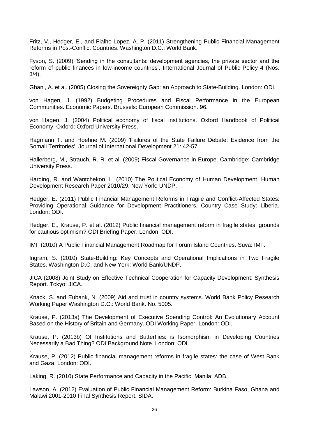Fritz, V., Hedger, E., and Fialho Lopez, A. P. (2011) Strengthening Public Financial Management Reforms in Post-Conflict Countries. Washington D.C.: World Bank.

Fyson, S. (2009) 'Sending in the consultants: development agencies, the private sector and the reform of public finances in low-income countries'. International Journal of Public Policy 4 (Nos. 3/4).

Ghani, A. et al. (2005) Closing the Sovereignty Gap: an Approach to State-Building. London: ODI.

von Hagen, J. (1992) Budgeting Procedures and Fiscal Performance in the European Communities. Economic Papers. Brussels: European Commission. 96.

von Hagen, J. (2004) Political economy of fiscal institutions. Oxford Handbook of Political Economy. Oxford: Oxford University Press.

Hagmann T. and Hoehne M. (2009) ['Failures of the State Failure Debate: Evidence from the](http://www.gsdrc.org/go/display&type=Document&id=3193)  [Somali Territories', Journal of International Development 21: 42-57.](http://www.gsdrc.org/go/display&type=Document&id=3193)

Hallerberg, M., Strauch, R. R. et al. (2009) Fiscal Governance in Europe. Cambridge: Cambridge University Press.

Harding, R. and Wantchekon, L. (2010) The Political Economy of Human Development. Human Development Research Paper 2010/29. New York: UNDP.

Hedger, E. (2011) Public Financial Management Reforms in Fragile and Conflict-Affected States: Providing Operational Guidance for Development Practitioners, Country Case Study: Liberia. London: ODI.

Hedger, E., Krause, P. et al. (2012) Public financial management reform in fragile states: grounds for cautious optimism? ODI Briefing Paper. London: ODI.

IMF (2010) A Public Financial Management Roadmap for Forum Island Countries. Suva: IMF.

Ingram, S. (2010) State-Building: Key Concepts and Operational Implications in Two Fragile States. Washington D.C. and New York: World Bank/UNDP.

JICA (2008) Joint Study on Effective Technical Cooperation for Capacity Development: Synthesis Report. Tokyo: JICA.

Knack, S. and Eubank, N. (2009) Aid and trust in country systems. World Bank Policy Research Working Paper Washington D.C.: World Bank. No. 5005.

Krause, P. (2013a) The Development of Executive Spending Control: An Evolutionary Account Based on the History of Britain and Germany. ODI Working Paper. London: ODI.

Krause, P. (2013b) Of Institutions and Butterflies: is Isomorphism in Developing Countries Necessarily a Bad Thing? ODI Background Note. London: ODI.

. Krause, P. (2012) Public financial management reforms in fragile states: the case of West Bank and Gaza. London: ODI.

Laking, R. (2010) State Performance and Capacity in the Pacific. Manila: ADB.

Lawson, A. (2012) Evaluation of Public Financial Management Reform: Burkina Faso, Ghana and Malawi 2001-2010 Final Synthesis Report. SIDA.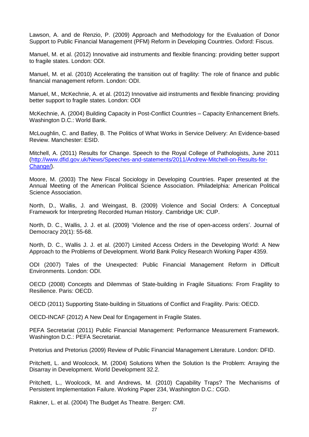Lawson, A. and de Renzio, P. (2009) Approach and Methodology for the Evaluation of Donor Support to Public Financial Management (PFM) Reform in Developing Countries. Oxford: Fiscus.

Manuel, M. et al. (2012) Innovative aid instruments and flexible financing: providing better support to fragile states. London: ODI.

Manuel, M. et al. (2010) Accelerating the transition out of fragility: The role of finance and public financial management reform. London: ODI.

Manuel, M., McKechnie, A. et al. (2012) Innovative aid instruments and flexible financing: providing better support to fragile states. London: ODI

McKechnie, A. (2004) Building Capacity in Post-Conflict Countries – Capacity Enhancement Briefs. Washington D.C.: World Bank.

McLoughlin, C. and Batley, B. The Politics of What Works in Service Delivery: An Evidence-based Review. Manchester: ESID.

Mitchell, A. (2011) Results for Change. Speech to the Royal College of Pathologists, June 2011 [\(http://www.dfid.gov.uk/News/Speeches-and-statements/2011/Andrew-Mitchell-on-Results-for-](http://www.dfid.gov.uk/News/Speeches-and-statements/2011/Andrew-Mitchell-on-Results-for-Change/)[Change/\)](http://www.dfid.gov.uk/News/Speeches-and-statements/2011/Andrew-Mitchell-on-Results-for-Change/).

Moore, M. (2003) The New Fiscal Sociology in Developing Countries. Paper presented at the Annual Meeting of the American Political Science Association. Philadelphia: American Political Science Association.

North, D., Wallis, J. and Weingast, B. (2009) Violence and Social Orders: A Conceptual Framework for Interpreting Recorded Human History. Cambridge UK: CUP.

North, D. C., Wallis, J. J. et al. (2009) 'Violence and the rise of open-access orders'. Journal of Democracy 20(1): 55-68.

North, D. C., Wallis J. J. et al. (2007) Limited Access Orders in the Developing World: A New Approach to the Problems of Development. World Bank Policy Research Working Paper 4359.

ODI (2007) Tales of the Unexpected: Public Financial Management Reform in Difficult Environments. London: ODI.

OECD (2008) Concepts and Dilemmas of State-building in Fragile Situations: From Fragility to Resilience. Paris: OECD.

OECD (2011) Supporting State-building in Situations of Conflict and Fragility. Paris: OECD.

OECD-INCAF (2012) A New Deal for Engagement in Fragile States.

PEFA Secretariat (2011) Public Financial Management: Performance Measurement Framework. Washington D.C.: PEFA Secretariat.

Pretorius and Pretorius (2009) Review of Public Financial Management Literature. London: DFID.

Pritchett, L. and Woolcock, M. (2004) Solutions When the Solution Is the Problem: Arraying the Disarray in Development. World Development 32.2.

Pritchett, L., Woolcock, M. and Andrews, M. (2010) Capability Traps? The Mechanisms of Persistent Implementation Failure. Working Paper 234, Washington D.C.: CGD.

Rakner, L. et al. (2004) The Budget As Theatre. Bergen: CMI.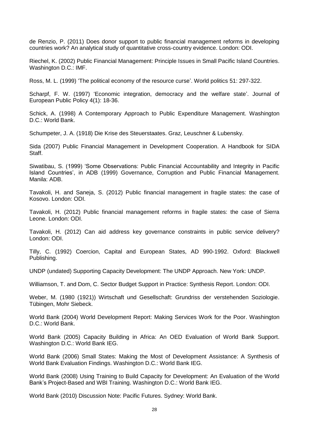de Renzio, P. (2011) Does donor support to public financial management reforms in developing countries work? An analytical study of quantitative cross-country evidence. London: ODI.

Riechel, K. (2002) Public Financial Management: Principle Issues in Small Pacific Island Countries. Washington D.C.: IMF.

Ross, M. L. (1999) 'The political economy of the resource curse'. World politics 51: 297-322.

Scharpf, F. W. (1997) 'Economic integration, democracy and the welfare state'. Journal of European Public Policy 4(1): 18-36.

Schick, A. (1998) A Contemporary Approach to Public Expenditure Management. Washington D.C.: World Bank.

Schumpeter, J. A. (1918) Die Krise des Steuerstaates. Graz, Leuschner & Lubensky.

Sida (2007) Public Financial Management in Development Cooperation. A Handbook for SIDA Staff.

Siwatibau, S. (1999) 'Some Observations: Public Financial Accountability and Integrity in Pacific Island Countries', in ADB (1999) Governance, Corruption and Public Financial Management. Manila: ADB.

Tavakoli, H. and Saneja, S. (2012) Public financial management in fragile states: the case of Kosovo. London: ODI.

Tavakoli, H. (2012) Public financial management reforms in fragile states: the case of Sierra Leone. London: ODI.

Tavakoli, H. (2012) Can aid address key governance constraints in public service delivery? London: ODI.

Tilly, C. (1992) Coercion, Capital and European States, AD 990-1992. Oxford: Blackwell Publishing.

UNDP (undated) Supporting Capacity Development: The UNDP Approach. New York: UNDP.

Williamson, T. and Dom, C. Sector Budget Support in Practice: Synthesis Report. London: ODI.

Weber, M. (1980 (1921)) Wirtschaft und Gesellschaft: Grundriss der verstehenden Soziologie. Tübingen, Mohr Siebeck.

World Bank (2004) World Development Report: Making Services Work for the Poor. Washington D.C.: World Bank.

World Bank (2005) Capacity Building in Africa: An OED Evaluation of World Bank Support. Washington D.C.: World Bank IEG.

World Bank (2006) Small States: Making the Most of Development Assistance: A Synthesis of World Bank Evaluation Findings. Washington D.C.: World Bank IEG.

World Bank (2008) Using Training to Build Capacity for Development: An Evaluation of the World Bank's Project-Based and WBI Training. Washington D.C.: World Bank IEG.

World Bank (2010) Discussion Note: Pacific Futures. Sydney: World Bank.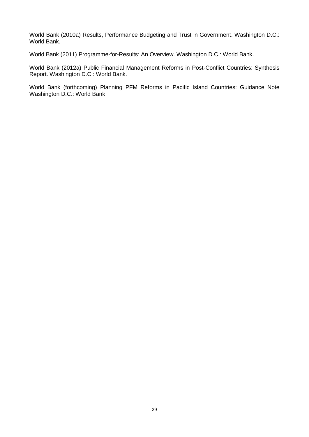World Bank (2010a) Results, Performance Budgeting and Trust in Government. Washington D.C.: World Bank.

World Bank (2011) Programme-for-Results: An Overview. Washington D.C.: World Bank.

World Bank (2012a) Public Financial Management Reforms in Post-Conflict Countries: Synthesis Report. Washington D.C.: World Bank.

World Bank (forthcoming) Planning PFM Reforms in Pacific Island Countries: Guidance Note Washington D.C.: World Bank.